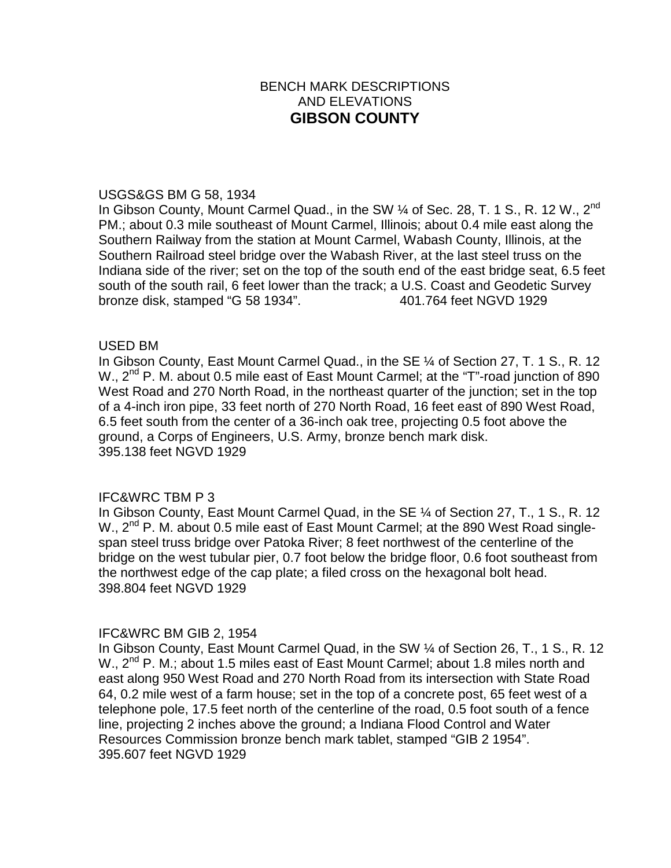# BENCH MARK DESCRIPTIONS AND ELEVATIONS **GIBSON COUNTY**

#### USGS&GS BM G 58, 1934

In Gibson County, Mount Carmel Quad., in the SW  $\%$  of Sec. 28, T. 1 S., R. 12 W., 2<sup>nd</sup> PM.; about 0.3 mile southeast of Mount Carmel, Illinois; about 0.4 mile east along the Southern Railway from the station at Mount Carmel, Wabash County, Illinois, at the Southern Railroad steel bridge over the Wabash River, at the last steel truss on the Indiana side of the river; set on the top of the south end of the east bridge seat, 6.5 feet south of the south rail, 6 feet lower than the track; a U.S. Coast and Geodetic Survey bronze disk, stamped "G 58 1934". 401.764 feet NGVD 1929

## USED BM

In Gibson County, East Mount Carmel Quad., in the SE ¼ of Section 27, T. 1 S., R. 12 W.,  $2^{nd}$  P. M. about 0.5 mile east of East Mount Carmel; at the "T"-road junction of 890 West Road and 270 North Road, in the northeast quarter of the junction; set in the top of a 4-inch iron pipe, 33 feet north of 270 North Road, 16 feet east of 890 West Road, 6.5 feet south from the center of a 36-inch oak tree, projecting 0.5 foot above the ground, a Corps of Engineers, U.S. Army, bronze bench mark disk. 395.138 feet NGVD 1929

# IFC&WRC TBM P 3

In Gibson County, East Mount Carmel Quad, in the SE ¼ of Section 27, T., 1 S., R. 12 W., 2<sup>nd</sup> P. M. about 0.5 mile east of East Mount Carmel; at the 890 West Road singlespan steel truss bridge over Patoka River; 8 feet northwest of the centerline of the bridge on the west tubular pier, 0.7 foot below the bridge floor, 0.6 foot southeast from the northwest edge of the cap plate; a filed cross on the hexagonal bolt head. 398.804 feet NGVD 1929

## IFC&WRC BM GIB 2, 1954

In Gibson County, East Mount Carmel Quad, in the SW ¼ of Section 26, T., 1 S., R. 12 W., 2<sup>nd</sup> P. M.; about 1.5 miles east of East Mount Carmel; about 1.8 miles north and east along 950 West Road and 270 North Road from its intersection with State Road 64, 0.2 mile west of a farm house; set in the top of a concrete post, 65 feet west of a telephone pole, 17.5 feet north of the centerline of the road, 0.5 foot south of a fence line, projecting 2 inches above the ground; a Indiana Flood Control and Water Resources Commission bronze bench mark tablet, stamped "GIB 2 1954". 395.607 feet NGVD 1929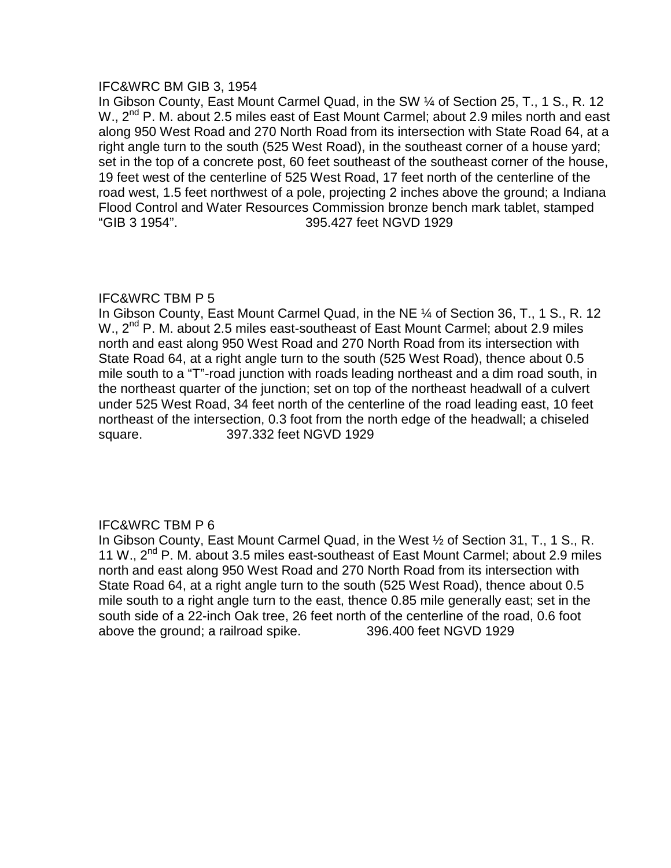## IFC&WRC BM GIB 3, 1954

In Gibson County, East Mount Carmel Quad, in the SW ¼ of Section 25, T., 1 S., R. 12 W., 2<sup>nd</sup> P. M. about 2.5 miles east of East Mount Carmel; about 2.9 miles north and east along 950 West Road and 270 North Road from its intersection with State Road 64, at a right angle turn to the south (525 West Road), in the southeast corner of a house yard; set in the top of a concrete post, 60 feet southeast of the southeast corner of the house, 19 feet west of the centerline of 525 West Road, 17 feet north of the centerline of the road west, 1.5 feet northwest of a pole, projecting 2 inches above the ground; a Indiana Flood Control and Water Resources Commission bronze bench mark tablet, stamped "GIB 3 1954". 395.427 feet NGVD 1929

# IFC&WRC TBM P 5

In Gibson County, East Mount Carmel Quad, in the NE ¼ of Section 36, T., 1 S., R. 12 W., 2<sup>nd</sup> P. M. about 2.5 miles east-southeast of East Mount Carmel; about 2.9 miles north and east along 950 West Road and 270 North Road from its intersection with State Road 64, at a right angle turn to the south (525 West Road), thence about 0.5 mile south to a "T"-road junction with roads leading northeast and a dim road south, in the northeast quarter of the junction; set on top of the northeast headwall of a culvert under 525 West Road, 34 feet north of the centerline of the road leading east, 10 feet northeast of the intersection, 0.3 foot from the north edge of the headwall; a chiseled square. 397.332 feet NGVD 1929

# IFC&WRC TBM P 6

In Gibson County, East Mount Carmel Quad, in the West ½ of Section 31, T., 1 S., R. 11 W., 2<sup>nd</sup> P. M. about 3.5 miles east-southeast of East Mount Carmel; about 2.9 miles north and east along 950 West Road and 270 North Road from its intersection with State Road 64, at a right angle turn to the south (525 West Road), thence about 0.5 mile south to a right angle turn to the east, thence 0.85 mile generally east; set in the south side of a 22-inch Oak tree, 26 feet north of the centerline of the road, 0.6 foot above the ground; a railroad spike. 396.400 feet NGVD 1929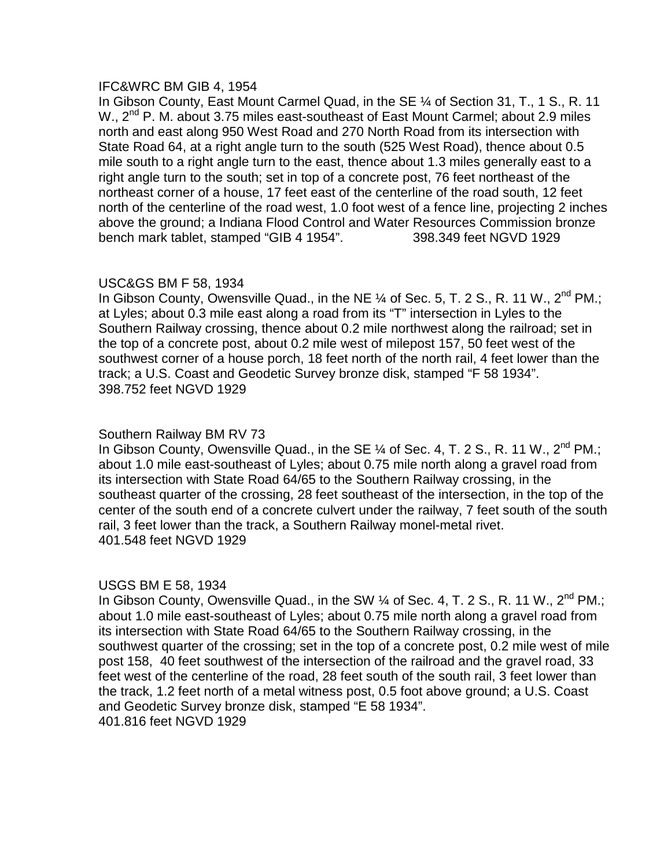## IFC&WRC BM GIB 4, 1954

In Gibson County, East Mount Carmel Quad, in the SE ¼ of Section 31, T., 1 S., R. 11 W., 2<sup>nd</sup> P. M. about 3.75 miles east-southeast of East Mount Carmel; about 2.9 miles north and east along 950 West Road and 270 North Road from its intersection with State Road 64, at a right angle turn to the south (525 West Road), thence about 0.5 mile south to a right angle turn to the east, thence about 1.3 miles generally east to a right angle turn to the south; set in top of a concrete post, 76 feet northeast of the northeast corner of a house, 17 feet east of the centerline of the road south, 12 feet north of the centerline of the road west, 1.0 foot west of a fence line, projecting 2 inches above the ground; a Indiana Flood Control and Water Resources Commission bronze bench mark tablet, stamped "GIB 4 1954". 398.349 feet NGVD 1929

## USC&GS BM F 58, 1934

In Gibson County, Owensville Quad., in the NE  $\%$  of Sec. 5, T. 2 S., R. 11 W., 2<sup>nd</sup> PM.; at Lyles; about 0.3 mile east along a road from its "T" intersection in Lyles to the Southern Railway crossing, thence about 0.2 mile northwest along the railroad; set in the top of a concrete post, about 0.2 mile west of milepost 157, 50 feet west of the southwest corner of a house porch, 18 feet north of the north rail, 4 feet lower than the track; a U.S. Coast and Geodetic Survey bronze disk, stamped "F 58 1934". 398.752 feet NGVD 1929

## Southern Railway BM RV 73

In Gibson County, Owensville Quad., in the SE 1/4 of Sec. 4, T. 2 S., R. 11 W., 2<sup>nd</sup> PM.; about 1.0 mile east-southeast of Lyles; about 0.75 mile north along a gravel road from its intersection with State Road 64/65 to the Southern Railway crossing, in the southeast quarter of the crossing, 28 feet southeast of the intersection, in the top of the center of the south end of a concrete culvert under the railway, 7 feet south of the south rail, 3 feet lower than the track, a Southern Railway monel-metal rivet. 401.548 feet NGVD 1929

## USGS BM E 58, 1934

In Gibson County, Owensville Quad., in the SW  $\frac{1}{4}$  of Sec. 4, T. 2 S., R. 11 W., 2<sup>nd</sup> PM.; about 1.0 mile east-southeast of Lyles; about 0.75 mile north along a gravel road from its intersection with State Road 64/65 to the Southern Railway crossing, in the southwest quarter of the crossing; set in the top of a concrete post, 0.2 mile west of mile post 158, 40 feet southwest of the intersection of the railroad and the gravel road, 33 feet west of the centerline of the road, 28 feet south of the south rail, 3 feet lower than the track, 1.2 feet north of a metal witness post, 0.5 foot above ground; a U.S. Coast and Geodetic Survey bronze disk, stamped "E 58 1934". 401.816 feet NGVD 1929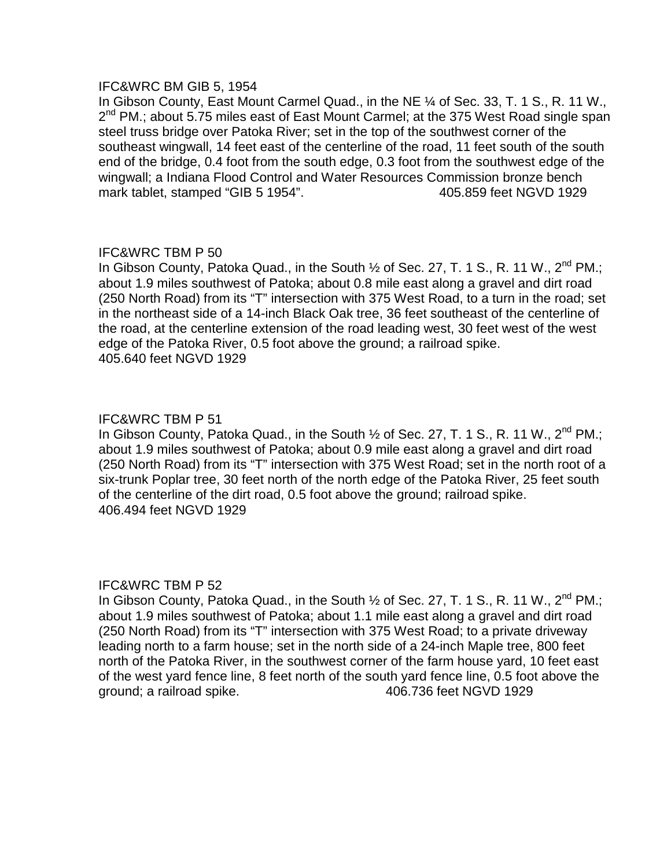## IFC&WRC BM GIB 5, 1954

In Gibson County, East Mount Carmel Quad., in the NE ¼ of Sec. 33, T. 1 S., R. 11 W., 2<sup>nd</sup> PM.; about 5.75 miles east of East Mount Carmel; at the 375 West Road single span steel truss bridge over Patoka River; set in the top of the southwest corner of the southeast wingwall, 14 feet east of the centerline of the road, 11 feet south of the south end of the bridge, 0.4 foot from the south edge, 0.3 foot from the southwest edge of the wingwall; a Indiana Flood Control and Water Resources Commission bronze bench mark tablet, stamped "GIB 5 1954". 405.859 feet NGVD 1929

# IFC&WRC TBM P 50

In Gibson County, Patoka Quad., in the South 1/2 of Sec. 27, T. 1 S., R. 11 W., 2<sup>nd</sup> PM.; about 1.9 miles southwest of Patoka; about 0.8 mile east along a gravel and dirt road (250 North Road) from its "T" intersection with 375 West Road, to a turn in the road; set in the northeast side of a 14-inch Black Oak tree, 36 feet southeast of the centerline of the road, at the centerline extension of the road leading west, 30 feet west of the west edge of the Patoka River, 0.5 foot above the ground; a railroad spike. 405.640 feet NGVD 1929

## IFC&WRC TBM P 51

In Gibson County, Patoka Quad., in the South  $\frac{1}{2}$  of Sec. 27, T. 1 S., R. 11 W., 2<sup>nd</sup> PM.; about 1.9 miles southwest of Patoka; about 0.9 mile east along a gravel and dirt road (250 North Road) from its "T" intersection with 375 West Road; set in the north root of a six-trunk Poplar tree, 30 feet north of the north edge of the Patoka River, 25 feet south of the centerline of the dirt road, 0.5 foot above the ground; railroad spike. 406.494 feet NGVD 1929

## IFC&WRC TBM P 52

In Gibson County, Patoka Quad., in the South  $\frac{1}{2}$  of Sec. 27, T. 1 S., R. 11 W., 2<sup>nd</sup> PM.; about 1.9 miles southwest of Patoka; about 1.1 mile east along a gravel and dirt road (250 North Road) from its "T" intersection with 375 West Road; to a private driveway leading north to a farm house; set in the north side of a 24-inch Maple tree, 800 feet north of the Patoka River, in the southwest corner of the farm house yard, 10 feet east of the west yard fence line, 8 feet north of the south yard fence line, 0.5 foot above the ground; a railroad spike. 406.736 feet NGVD 1929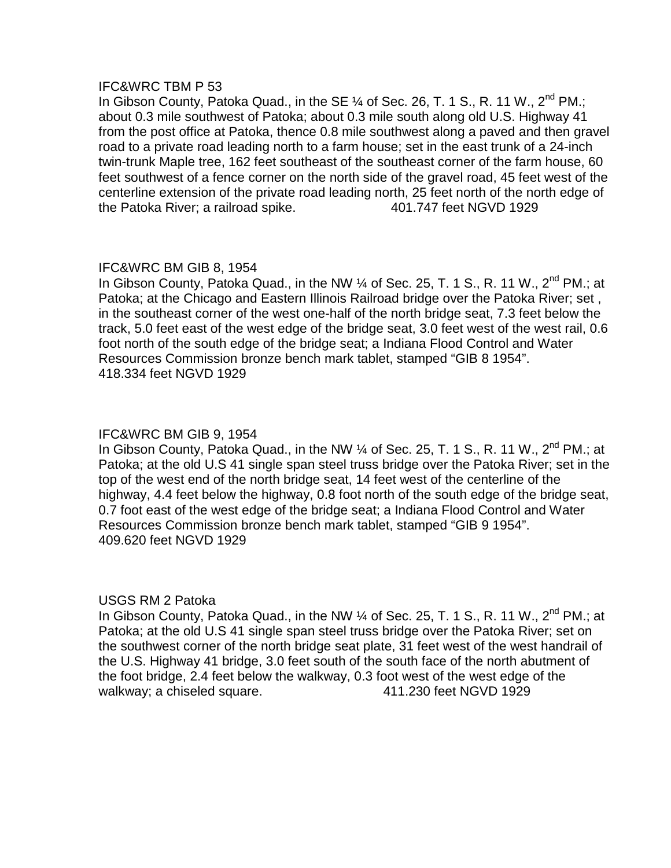In Gibson County, Patoka Quad., in the SE  $\%$  of Sec. 26, T. 1 S., R. 11 W., 2<sup>nd</sup> PM.; about 0.3 mile southwest of Patoka; about 0.3 mile south along old U.S. Highway 41 from the post office at Patoka, thence 0.8 mile southwest along a paved and then gravel road to a private road leading north to a farm house; set in the east trunk of a 24-inch twin-trunk Maple tree, 162 feet southeast of the southeast corner of the farm house, 60 feet southwest of a fence corner on the north side of the gravel road, 45 feet west of the centerline extension of the private road leading north, 25 feet north of the north edge of the Patoka River; a railroad spike. 401.747 feet NGVD 1929

## IFC&WRC BM GIB 8, 1954

In Gibson County, Patoka Quad., in the NW  $\%$  of Sec. 25, T. 1 S., R. 11 W., 2<sup>nd</sup> PM.; at Patoka; at the Chicago and Eastern Illinois Railroad bridge over the Patoka River; set , in the southeast corner of the west one-half of the north bridge seat, 7.3 feet below the track, 5.0 feet east of the west edge of the bridge seat, 3.0 feet west of the west rail, 0.6 foot north of the south edge of the bridge seat; a Indiana Flood Control and Water Resources Commission bronze bench mark tablet, stamped "GIB 8 1954". 418.334 feet NGVD 1929

# IFC&WRC BM GIB 9, 1954

In Gibson County, Patoka Quad., in the NW  $\%$  of Sec. 25, T. 1 S., R. 11 W., 2<sup>nd</sup> PM.; at Patoka; at the old U.S 41 single span steel truss bridge over the Patoka River; set in the top of the west end of the north bridge seat, 14 feet west of the centerline of the highway, 4.4 feet below the highway, 0.8 foot north of the south edge of the bridge seat, 0.7 foot east of the west edge of the bridge seat; a Indiana Flood Control and Water Resources Commission bronze bench mark tablet, stamped "GIB 9 1954". 409.620 feet NGVD 1929

## USGS RM 2 Patoka

In Gibson County, Patoka Quad., in the NW ¼ of Sec. 25, T. 1 S., R. 11 W., 2<sup>nd</sup> PM.; at Patoka; at the old U.S 41 single span steel truss bridge over the Patoka River; set on the southwest corner of the north bridge seat plate, 31 feet west of the west handrail of the U.S. Highway 41 bridge, 3.0 feet south of the south face of the north abutment of the foot bridge, 2.4 feet below the walkway, 0.3 foot west of the west edge of the walkway; a chiseled square.  $\frac{411.230}{e}$  feet NGVD 1929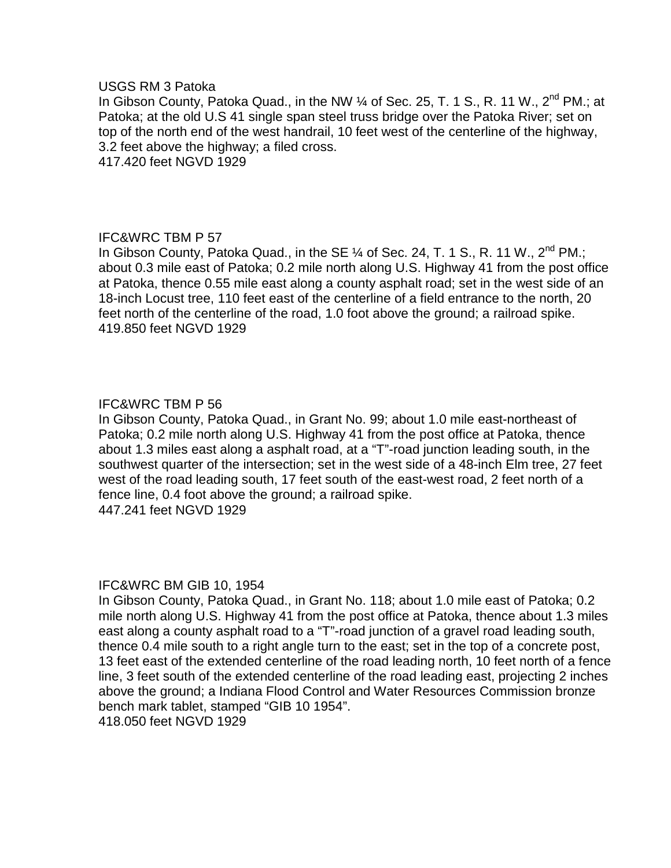#### USGS RM 3 Patoka

In Gibson County, Patoka Quad., in the NW 1/4 of Sec. 25, T. 1 S., R. 11 W., 2<sup>nd</sup> PM.: at Patoka; at the old U.S 41 single span steel truss bridge over the Patoka River; set on top of the north end of the west handrail, 10 feet west of the centerline of the highway, 3.2 feet above the highway; a filed cross.

417.420 feet NGVD 1929

# IFC&WRC TBM P 57

In Gibson County, Patoka Quad., in the SE  $\%$  of Sec. 24, T. 1 S., R. 11 W., 2<sup>nd</sup> PM.; about 0.3 mile east of Patoka; 0.2 mile north along U.S. Highway 41 from the post office at Patoka, thence 0.55 mile east along a county asphalt road; set in the west side of an 18-inch Locust tree, 110 feet east of the centerline of a field entrance to the north, 20 feet north of the centerline of the road, 1.0 foot above the ground; a railroad spike. 419.850 feet NGVD 1929

# IFC&WRC TBM P 56

In Gibson County, Patoka Quad., in Grant No. 99; about 1.0 mile east-northeast of Patoka; 0.2 mile north along U.S. Highway 41 from the post office at Patoka, thence about 1.3 miles east along a asphalt road, at a "T"-road junction leading south, in the southwest quarter of the intersection; set in the west side of a 48-inch Elm tree, 27 feet west of the road leading south, 17 feet south of the east-west road, 2 feet north of a fence line, 0.4 foot above the ground; a railroad spike. 447.241 feet NGVD 1929

## IFC&WRC BM GIB 10, 1954

In Gibson County, Patoka Quad., in Grant No. 118; about 1.0 mile east of Patoka; 0.2 mile north along U.S. Highway 41 from the post office at Patoka, thence about 1.3 miles east along a county asphalt road to a "T"-road junction of a gravel road leading south, thence 0.4 mile south to a right angle turn to the east; set in the top of a concrete post, 13 feet east of the extended centerline of the road leading north, 10 feet north of a fence line, 3 feet south of the extended centerline of the road leading east, projecting 2 inches above the ground; a Indiana Flood Control and Water Resources Commission bronze bench mark tablet, stamped "GIB 10 1954".

418.050 feet NGVD 1929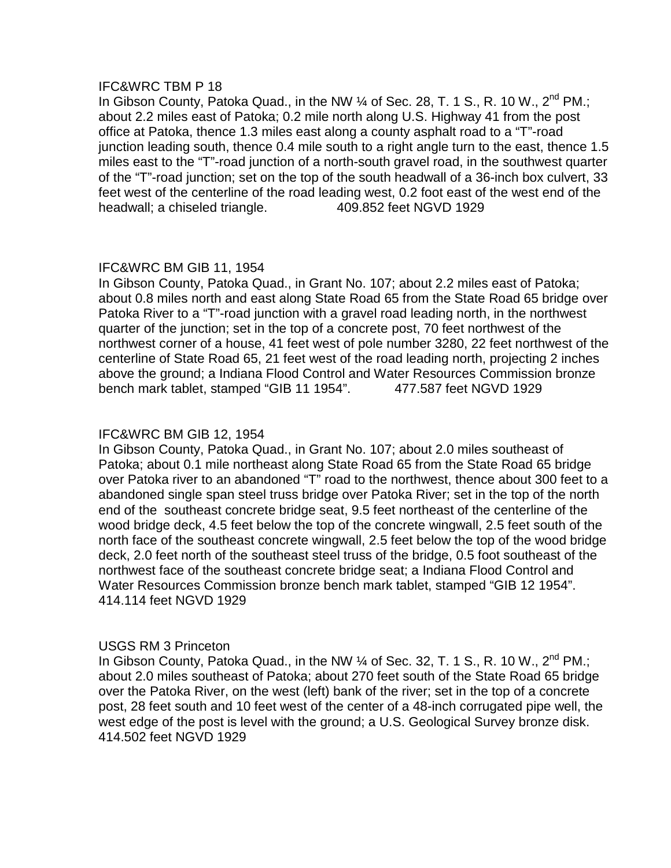In Gibson County, Patoka Quad., in the NW 1/4 of Sec. 28, T. 1 S., R. 10 W., 2<sup>nd</sup> PM.; about 2.2 miles east of Patoka; 0.2 mile north along U.S. Highway 41 from the post office at Patoka, thence 1.3 miles east along a county asphalt road to a "T"-road junction leading south, thence 0.4 mile south to a right angle turn to the east, thence 1.5 miles east to the "T"-road junction of a north-south gravel road, in the southwest quarter of the "T"-road junction; set on the top of the south headwall of a 36-inch box culvert, 33 feet west of the centerline of the road leading west, 0.2 foot east of the west end of the headwall; a chiseled triangle. 409.852 feet NGVD 1929

# IFC&WRC BM GIB 11, 1954

In Gibson County, Patoka Quad., in Grant No. 107; about 2.2 miles east of Patoka; about 0.8 miles north and east along State Road 65 from the State Road 65 bridge over Patoka River to a "T"-road junction with a gravel road leading north, in the northwest quarter of the junction; set in the top of a concrete post, 70 feet northwest of the northwest corner of a house, 41 feet west of pole number 3280, 22 feet northwest of the centerline of State Road 65, 21 feet west of the road leading north, projecting 2 inches above the ground; a Indiana Flood Control and Water Resources Commission bronze bench mark tablet, stamped "GIB 11 1954". 477.587 feet NGVD 1929

# IFC&WRC BM GIB 12, 1954

In Gibson County, Patoka Quad., in Grant No. 107; about 2.0 miles southeast of Patoka; about 0.1 mile northeast along State Road 65 from the State Road 65 bridge over Patoka river to an abandoned "T" road to the northwest, thence about 300 feet to a abandoned single span steel truss bridge over Patoka River; set in the top of the north end of the southeast concrete bridge seat, 9.5 feet northeast of the centerline of the wood bridge deck, 4.5 feet below the top of the concrete wingwall, 2.5 feet south of the north face of the southeast concrete wingwall, 2.5 feet below the top of the wood bridge deck, 2.0 feet north of the southeast steel truss of the bridge, 0.5 foot southeast of the northwest face of the southeast concrete bridge seat; a Indiana Flood Control and Water Resources Commission bronze bench mark tablet, stamped "GIB 12 1954". 414.114 feet NGVD 1929

## USGS RM 3 Princeton

In Gibson County, Patoka Quad., in the NW  $\frac{1}{4}$  of Sec. 32, T. 1 S., R. 10 W., 2<sup>nd</sup> PM.; about 2.0 miles southeast of Patoka; about 270 feet south of the State Road 65 bridge over the Patoka River, on the west (left) bank of the river; set in the top of a concrete post, 28 feet south and 10 feet west of the center of a 48-inch corrugated pipe well, the west edge of the post is level with the ground; a U.S. Geological Survey bronze disk. 414.502 feet NGVD 1929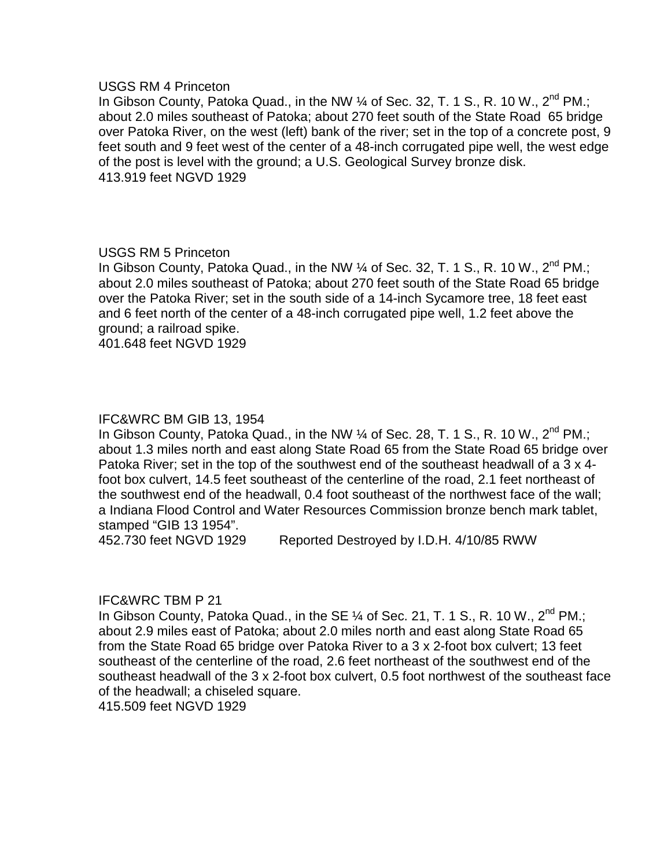#### USGS RM 4 Princeton

In Gibson County, Patoka Quad., in the NW 1/4 of Sec. 32, T. 1 S., R. 10 W., 2<sup>nd</sup> PM.; about 2.0 miles southeast of Patoka; about 270 feet south of the State Road 65 bridge over Patoka River, on the west (left) bank of the river; set in the top of a concrete post, 9 feet south and 9 feet west of the center of a 48-inch corrugated pipe well, the west edge of the post is level with the ground; a U.S. Geological Survey bronze disk. 413.919 feet NGVD 1929

# USGS RM 5 Princeton

In Gibson County, Patoka Quad., in the NW 1/4 of Sec. 32, T. 1 S., R. 10 W., 2<sup>nd</sup> PM.; about 2.0 miles southeast of Patoka; about 270 feet south of the State Road 65 bridge over the Patoka River; set in the south side of a 14-inch Sycamore tree, 18 feet east and 6 feet north of the center of a 48-inch corrugated pipe well, 1.2 feet above the ground; a railroad spike.

401.648 feet NGVD 1929

# IFC&WRC BM GIB 13, 1954

In Gibson County, Patoka Quad., in the NW  $\frac{1}{4}$  of Sec. 28, T. 1 S., R. 10 W., 2<sup>nd</sup> PM.; about 1.3 miles north and east along State Road 65 from the State Road 65 bridge over Patoka River; set in the top of the southwest end of the southeast headwall of a 3 x 4 foot box culvert, 14.5 feet southeast of the centerline of the road, 2.1 feet northeast of the southwest end of the headwall, 0.4 foot southeast of the northwest face of the wall; a Indiana Flood Control and Water Resources Commission bronze bench mark tablet, stamped "GIB 13 1954".

452.730 feet NGVD 1929 Reported Destroyed by I.D.H. 4/10/85 RWW

## IFC&WRC TBM P 21

In Gibson County, Patoka Quad., in the SE  $\%$  of Sec. 21, T. 1 S., R. 10 W., 2<sup>nd</sup> PM.; about 2.9 miles east of Patoka; about 2.0 miles north and east along State Road 65 from the State Road 65 bridge over Patoka River to a 3 x 2-foot box culvert; 13 feet southeast of the centerline of the road, 2.6 feet northeast of the southwest end of the southeast headwall of the 3 x 2-foot box culvert, 0.5 foot northwest of the southeast face of the headwall; a chiseled square.

415.509 feet NGVD 1929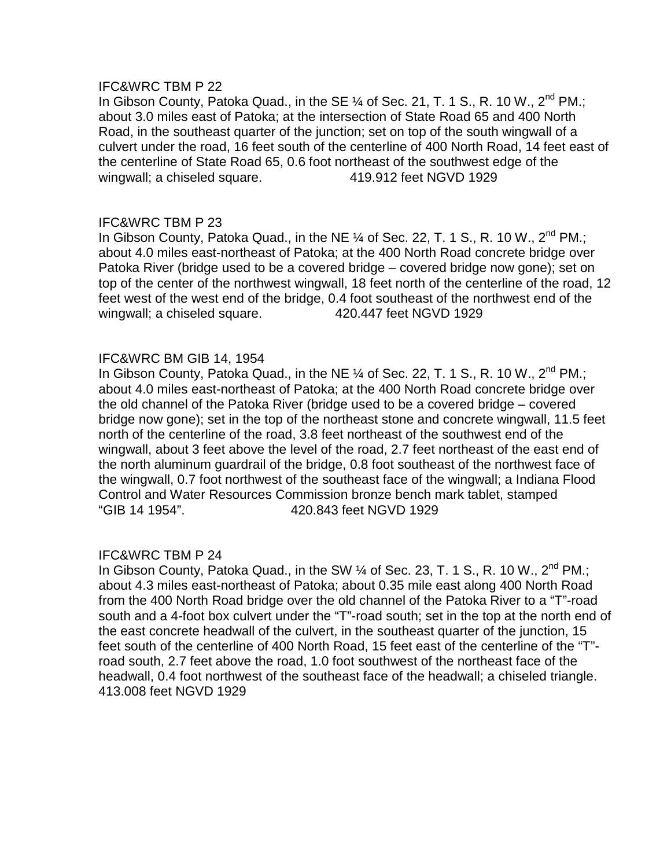In Gibson County, Patoka Quad., in the SE  $\%$  of Sec. 21, T. 1 S., R. 10 W., 2<sup>nd</sup> PM.; about 3.0 miles east of Patoka; at the intersection of State Road 65 and 400 North Road, in the southeast quarter of the junction; set on top of the south wingwall of a culvert under the road, 16 feet south of the centerline of 400 North Road, 14 feet east of the centerline of State Road 65, 0.6 foot northeast of the southwest edge of the wingwall; a chiseled square. 419.912 feet NGVD 1929

## IFC&WRC TBM P 23

In Gibson County, Patoka Quad., in the NE  $\%$  of Sec. 22, T. 1 S., R. 10 W., 2<sup>nd</sup> PM.; about 4.0 miles east-northeast of Patoka; at the 400 North Road concrete bridge over Patoka River (bridge used to be a covered bridge – covered bridge now gone); set on top of the center of the northwest wingwall, 18 feet north of the centerline of the road, 12 feet west of the west end of the bridge, 0.4 foot southeast of the northwest end of the wingwall; a chiseled square. 420.447 feet NGVD 1929

## IFC&WRC BM GIB 14, 1954

In Gibson County, Patoka Quad., in the NE  $\%$  of Sec. 22, T. 1 S., R. 10 W., 2<sup>nd</sup> PM.; about 4.0 miles east-northeast of Patoka; at the 400 North Road concrete bridge over the old channel of the Patoka River (bridge used to be a covered bridge – covered bridge now gone); set in the top of the northeast stone and concrete wingwall, 11.5 feet north of the centerline of the road, 3.8 feet northeast of the southwest end of the wingwall, about 3 feet above the level of the road, 2.7 feet northeast of the east end of the north aluminum guardrail of the bridge, 0.8 foot southeast of the northwest face of the wingwall, 0.7 foot northwest of the southeast face of the wingwall; a Indiana Flood Control and Water Resources Commission bronze bench mark tablet, stamped "GIB 14 1954". 420.843 feet NGVD 1929

## IFC&WRC TBM P 24

In Gibson County, Patoka Quad., in the SW  $\%$  of Sec. 23, T. 1 S., R. 10 W., 2<sup>nd</sup> PM.; about 4.3 miles east-northeast of Patoka; about 0.35 mile east along 400 North Road from the 400 North Road bridge over the old channel of the Patoka River to a "T"-road south and a 4-foot box culvert under the "T"-road south; set in the top at the north end of the east concrete headwall of the culvert, in the southeast quarter of the junction, 15 feet south of the centerline of 400 North Road, 15 feet east of the centerline of the "T" road south, 2.7 feet above the road, 1.0 foot southwest of the northeast face of the headwall, 0.4 foot northwest of the southeast face of the headwall; a chiseled triangle. 413.008 feet NGVD 1929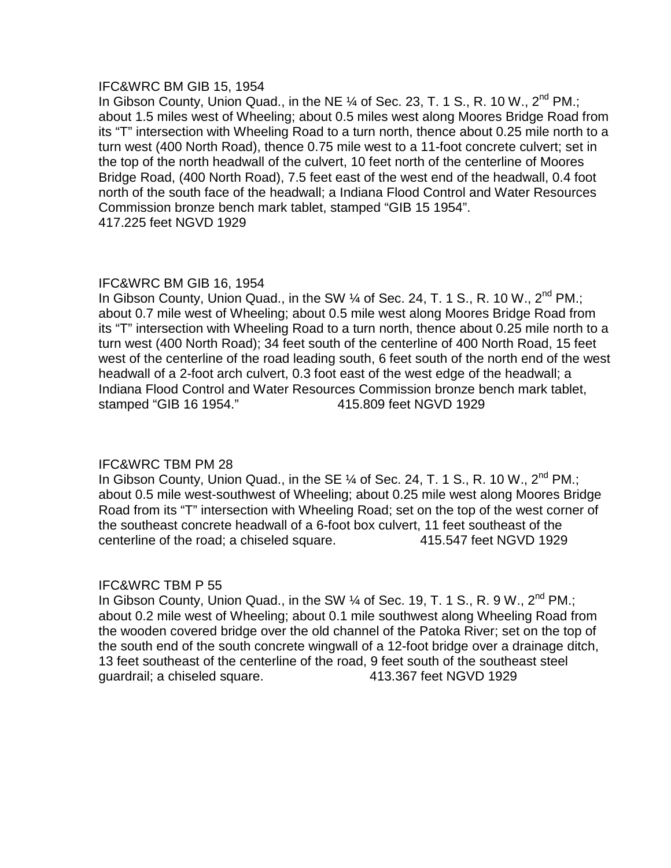## IFC&WRC BM GIB 15, 1954

In Gibson County, Union Quad., in the NE  $\%$  of Sec. 23, T. 1 S., R. 10 W., 2<sup>nd</sup> PM.; about 1.5 miles west of Wheeling; about 0.5 miles west along Moores Bridge Road from its "T" intersection with Wheeling Road to a turn north, thence about 0.25 mile north to a turn west (400 North Road), thence 0.75 mile west to a 11-foot concrete culvert; set in the top of the north headwall of the culvert, 10 feet north of the centerline of Moores Bridge Road, (400 North Road), 7.5 feet east of the west end of the headwall, 0.4 foot north of the south face of the headwall; a Indiana Flood Control and Water Resources Commission bronze bench mark tablet, stamped "GIB 15 1954". 417.225 feet NGVD 1929

# IFC&WRC BM GIB 16, 1954

In Gibson County, Union Quad., in the SW  $\%$  of Sec. 24, T. 1 S., R. 10 W., 2<sup>nd</sup> PM.; about 0.7 mile west of Wheeling; about 0.5 mile west along Moores Bridge Road from its "T" intersection with Wheeling Road to a turn north, thence about 0.25 mile north to a turn west (400 North Road); 34 feet south of the centerline of 400 North Road, 15 feet west of the centerline of the road leading south, 6 feet south of the north end of the west headwall of a 2-foot arch culvert, 0.3 foot east of the west edge of the headwall; a Indiana Flood Control and Water Resources Commission bronze bench mark tablet, stamped "GIB 16 1954." 415.809 feet NGVD 1929

# IFC&WRC TBM PM 28

In Gibson County, Union Quad., in the SE  $\%$  of Sec. 24, T. 1 S., R. 10 W., 2<sup>nd</sup> PM.; about 0.5 mile west-southwest of Wheeling; about 0.25 mile west along Moores Bridge Road from its "T" intersection with Wheeling Road; set on the top of the west corner of the southeast concrete headwall of a 6-foot box culvert, 11 feet southeast of the centerline of the road; a chiseled square. 415.547 feet NGVD 1929

## IFC&WRC TBM P 55

In Gibson County, Union Quad., in the SW  $\frac{1}{4}$  of Sec. 19, T. 1 S., R. 9 W.,  $2^{nd}$  PM.; about 0.2 mile west of Wheeling; about 0.1 mile southwest along Wheeling Road from the wooden covered bridge over the old channel of the Patoka River; set on the top of the south end of the south concrete wingwall of a 12-foot bridge over a drainage ditch, 13 feet southeast of the centerline of the road, 9 feet south of the southeast steel guardrail; a chiseled square. 413.367 feet NGVD 1929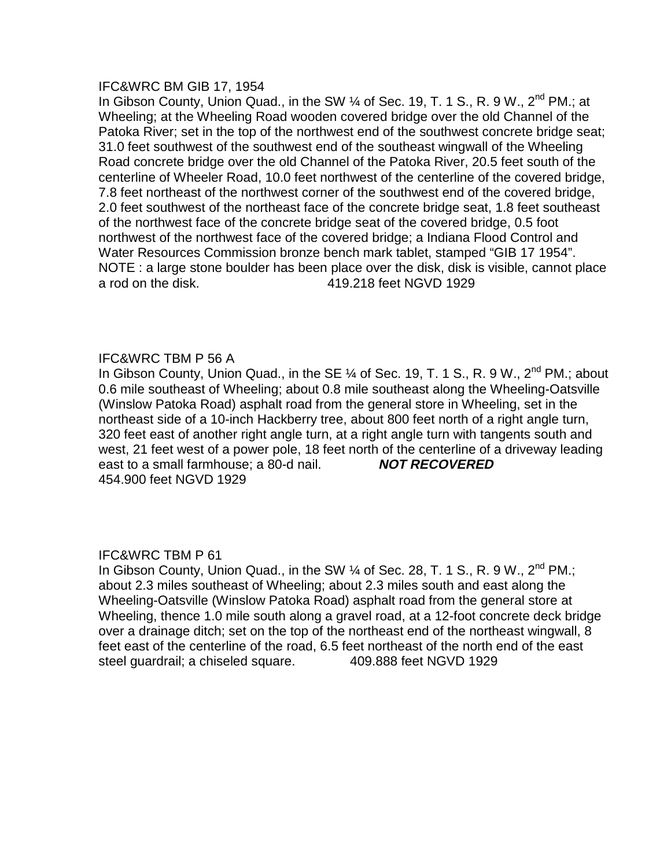#### IFC&WRC BM GIB 17, 1954

In Gibson County, Union Quad., in the SW 1/4 of Sec. 19, T. 1 S., R. 9 W., 2<sup>nd</sup> PM.; at Wheeling; at the Wheeling Road wooden covered bridge over the old Channel of the Patoka River; set in the top of the northwest end of the southwest concrete bridge seat; 31.0 feet southwest of the southwest end of the southeast wingwall of the Wheeling Road concrete bridge over the old Channel of the Patoka River, 20.5 feet south of the centerline of Wheeler Road, 10.0 feet northwest of the centerline of the covered bridge, 7.8 feet northeast of the northwest corner of the southwest end of the covered bridge, 2.0 feet southwest of the northeast face of the concrete bridge seat, 1.8 feet southeast of the northwest face of the concrete bridge seat of the covered bridge, 0.5 foot northwest of the northwest face of the covered bridge; a Indiana Flood Control and Water Resources Commission bronze bench mark tablet, stamped "GIB 17 1954". NOTE : a large stone boulder has been place over the disk, disk is visible, cannot place a rod on the disk. 419.218 feet NGVD 1929

## IFC&WRC TBM P 56 A

In Gibson County, Union Quad., in the SE  $\frac{1}{4}$  of Sec. 19, T. 1 S., R. 9 W., 2<sup>nd</sup> PM.; about 0.6 mile southeast of Wheeling; about 0.8 mile southeast along the Wheeling-Oatsville (Winslow Patoka Road) asphalt road from the general store in Wheeling, set in the northeast side of a 10-inch Hackberry tree, about 800 feet north of a right angle turn, 320 feet east of another right angle turn, at a right angle turn with tangents south and west, 21 feet west of a power pole, 18 feet north of the centerline of a driveway leading east to a small farmhouse; a 80-d nail. **NOT RECOVERED** 454.900 feet NGVD 1929

# IFC&WRC TBM P 61

In Gibson County, Union Quad., in the SW  $\%$  of Sec. 28, T. 1 S., R. 9 W., 2<sup>nd</sup> PM.; about 2.3 miles southeast of Wheeling; about 2.3 miles south and east along the Wheeling-Oatsville (Winslow Patoka Road) asphalt road from the general store at Wheeling, thence 1.0 mile south along a gravel road, at a 12-foot concrete deck bridge over a drainage ditch; set on the top of the northeast end of the northeast wingwall, 8 feet east of the centerline of the road, 6.5 feet northeast of the north end of the east steel guardrail; a chiseled square. 409.888 feet NGVD 1929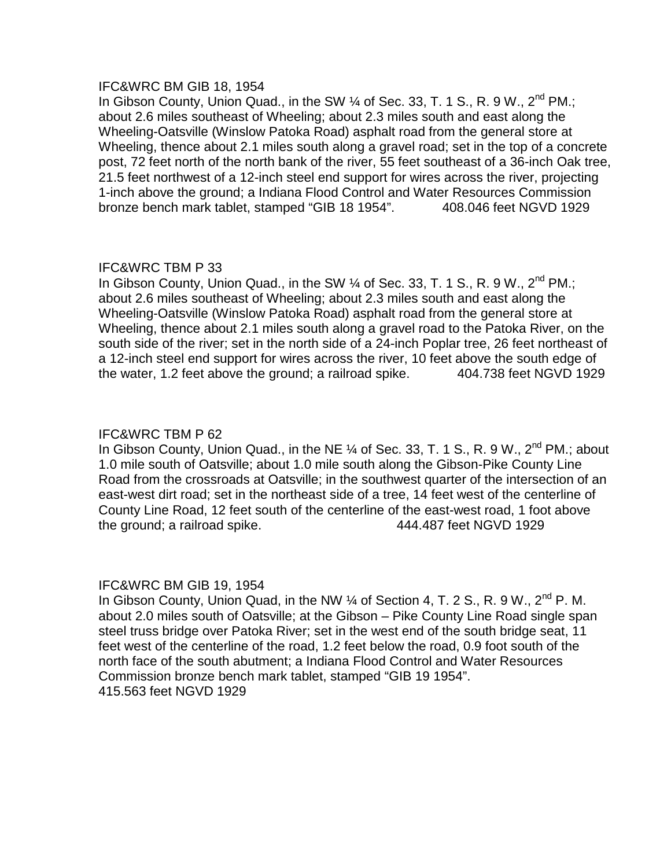## IFC&WRC BM GIB 18, 1954

In Gibson County, Union Quad., in the SW 1/4 of Sec. 33, T. 1 S., R. 9 W., 2<sup>nd</sup> PM.: about 2.6 miles southeast of Wheeling; about 2.3 miles south and east along the Wheeling-Oatsville (Winslow Patoka Road) asphalt road from the general store at Wheeling, thence about 2.1 miles south along a gravel road; set in the top of a concrete post, 72 feet north of the north bank of the river, 55 feet southeast of a 36-inch Oak tree, 21.5 feet northwest of a 12-inch steel end support for wires across the river, projecting 1-inch above the ground; a Indiana Flood Control and Water Resources Commission bronze bench mark tablet, stamped "GIB 18 1954". 408.046 feet NGVD 1929

## IFC&WRC TBM P 33

In Gibson County, Union Quad., in the SW  $\%$  of Sec. 33, T. 1 S., R. 9 W., 2<sup>nd</sup> PM.; about 2.6 miles southeast of Wheeling; about 2.3 miles south and east along the Wheeling-Oatsville (Winslow Patoka Road) asphalt road from the general store at Wheeling, thence about 2.1 miles south along a gravel road to the Patoka River, on the south side of the river; set in the north side of a 24-inch Poplar tree, 26 feet northeast of a 12-inch steel end support for wires across the river, 10 feet above the south edge of the water, 1.2 feet above the ground; a railroad spike.  $404.738$  feet NGVD 1929

# IFC&WRC TBM P 62

In Gibson County, Union Quad., in the NE  $\%$  of Sec. 33, T. 1 S., R. 9 W., 2<sup>nd</sup> PM.; about 1.0 mile south of Oatsville; about 1.0 mile south along the Gibson-Pike County Line Road from the crossroads at Oatsville; in the southwest quarter of the intersection of an east-west dirt road; set in the northeast side of a tree, 14 feet west of the centerline of County Line Road, 12 feet south of the centerline of the east-west road, 1 foot above the ground; a railroad spike. 444.487 feet NGVD 1929

## IFC&WRC BM GIB 19, 1954

In Gibson County, Union Quad, in the NW  $\frac{1}{4}$  of Section 4, T. 2 S., R. 9 W., 2<sup>nd</sup> P. M. about 2.0 miles south of Oatsville; at the Gibson – Pike County Line Road single span steel truss bridge over Patoka River; set in the west end of the south bridge seat, 11 feet west of the centerline of the road, 1.2 feet below the road, 0.9 foot south of the north face of the south abutment; a Indiana Flood Control and Water Resources Commission bronze bench mark tablet, stamped "GIB 19 1954". 415.563 feet NGVD 1929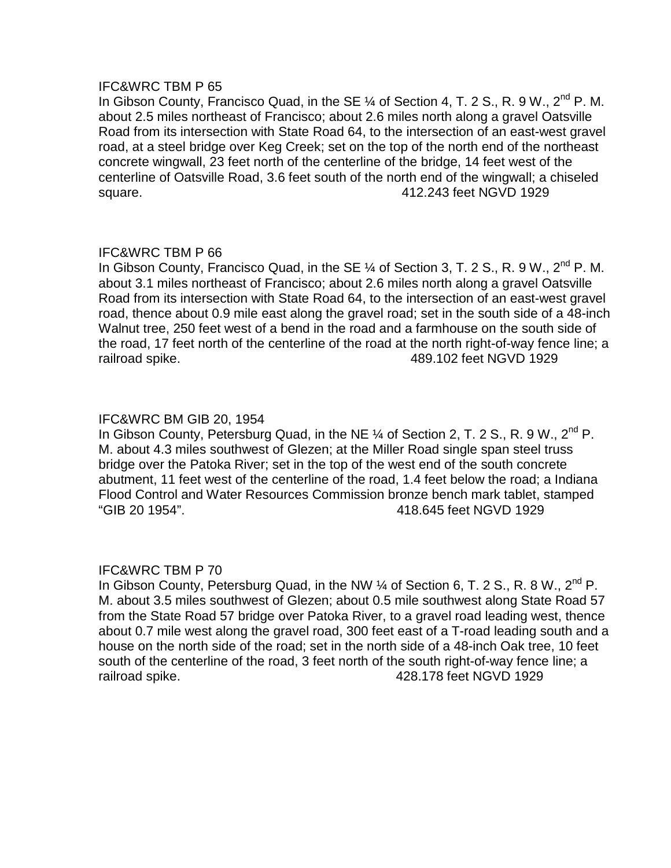In Gibson County, Francisco Quad, in the SE  $\%$  of Section 4, T. 2 S., R. 9 W., 2<sup>nd</sup> P. M. about 2.5 miles northeast of Francisco; about 2.6 miles north along a gravel Oatsville Road from its intersection with State Road 64, to the intersection of an east-west gravel road, at a steel bridge over Keg Creek; set on the top of the north end of the northeast concrete wingwall, 23 feet north of the centerline of the bridge, 14 feet west of the centerline of Oatsville Road, 3.6 feet south of the north end of the wingwall; a chiseled square. 412.243 feet NGVD 1929

# IFC&WRC TBM P 66

In Gibson County, Francisco Quad, in the SE  $\%$  of Section 3, T. 2 S., R. 9 W., 2<sup>nd</sup> P. M. about 3.1 miles northeast of Francisco; about 2.6 miles north along a gravel Oatsville Road from its intersection with State Road 64, to the intersection of an east-west gravel road, thence about 0.9 mile east along the gravel road; set in the south side of a 48-inch Walnut tree, 250 feet west of a bend in the road and a farmhouse on the south side of the road, 17 feet north of the centerline of the road at the north right-of-way fence line; a railroad spike. 489.102 feet NGVD 1929

# IFC&WRC BM GIB 20, 1954

In Gibson County, Petersburg Quad, in the NE  $\frac{1}{4}$  of Section 2, T. 2 S., R. 9 W.,  $2^{nd}$  P. M. about 4.3 miles southwest of Glezen; at the Miller Road single span steel truss bridge over the Patoka River; set in the top of the west end of the south concrete abutment, 11 feet west of the centerline of the road, 1.4 feet below the road; a Indiana Flood Control and Water Resources Commission bronze bench mark tablet, stamped "GIB 20 1954". 418.645 feet NGVD 1929

## IFC&WRC TBM P 70

In Gibson County, Petersburg Quad, in the NW  $\frac{1}{4}$  of Section 6, T. 2 S., R. 8 W.,  $2^{nd}$  P. M. about 3.5 miles southwest of Glezen; about 0.5 mile southwest along State Road 57 from the State Road 57 bridge over Patoka River, to a gravel road leading west, thence about 0.7 mile west along the gravel road, 300 feet east of a T-road leading south and a house on the north side of the road; set in the north side of a 48-inch Oak tree, 10 feet south of the centerline of the road, 3 feet north of the south right-of-way fence line; a railroad spike. 428.178 feet NGVD 1929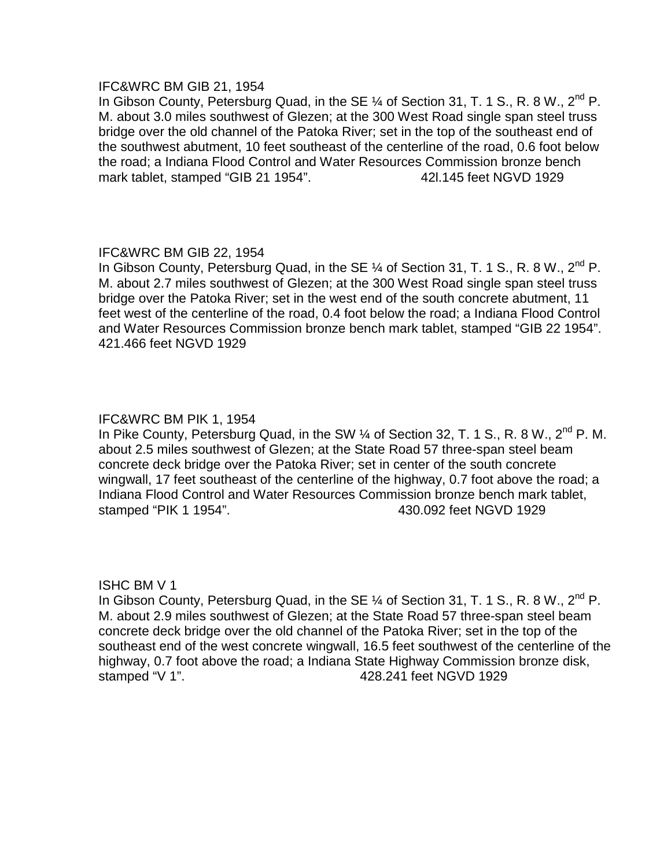## IFC&WRC BM GIB 21, 1954

In Gibson County, Petersburg Quad, in the SE  $\frac{1}{4}$  of Section 31, T. 1 S., R. 8 W., 2<sup>nd</sup> P. M. about 3.0 miles southwest of Glezen; at the 300 West Road single span steel truss bridge over the old channel of the Patoka River; set in the top of the southeast end of the southwest abutment, 10 feet southeast of the centerline of the road, 0.6 foot below the road; a Indiana Flood Control and Water Resources Commission bronze bench mark tablet, stamped "GIB 21 1954". 42l.145 feet NGVD 1929

# IFC&WRC BM GIB 22, 1954

In Gibson County, Petersburg Quad, in the SE  $\frac{1}{4}$  of Section 31, T. 1 S., R. 8 W.,  $2^{nd}$  P. M. about 2.7 miles southwest of Glezen; at the 300 West Road single span steel truss bridge over the Patoka River; set in the west end of the south concrete abutment, 11 feet west of the centerline of the road, 0.4 foot below the road; a Indiana Flood Control and Water Resources Commission bronze bench mark tablet, stamped "GIB 22 1954". 421.466 feet NGVD 1929

# IFC&WRC BM PIK 1, 1954

In Pike County, Petersburg Quad, in the SW  $\%$  of Section 32, T. 1 S., R. 8 W., 2<sup>nd</sup> P. M. about 2.5 miles southwest of Glezen; at the State Road 57 three-span steel beam concrete deck bridge over the Patoka River; set in center of the south concrete wingwall, 17 feet southeast of the centerline of the highway, 0.7 foot above the road; a Indiana Flood Control and Water Resources Commission bronze bench mark tablet, stamped "PIK 1 1954". 430.092 feet NGVD 1929

## ISHC BM V 1

In Gibson County, Petersburg Quad, in the SE  $\frac{1}{4}$  of Section 31, T. 1 S., R. 8 W.,  $2^{nd}$  P. M. about 2.9 miles southwest of Glezen; at the State Road 57 three-span steel beam concrete deck bridge over the old channel of the Patoka River; set in the top of the southeast end of the west concrete wingwall, 16.5 feet southwest of the centerline of the highway, 0.7 foot above the road; a Indiana State Highway Commission bronze disk, stamped "V 1". 428.241 feet NGVD 1929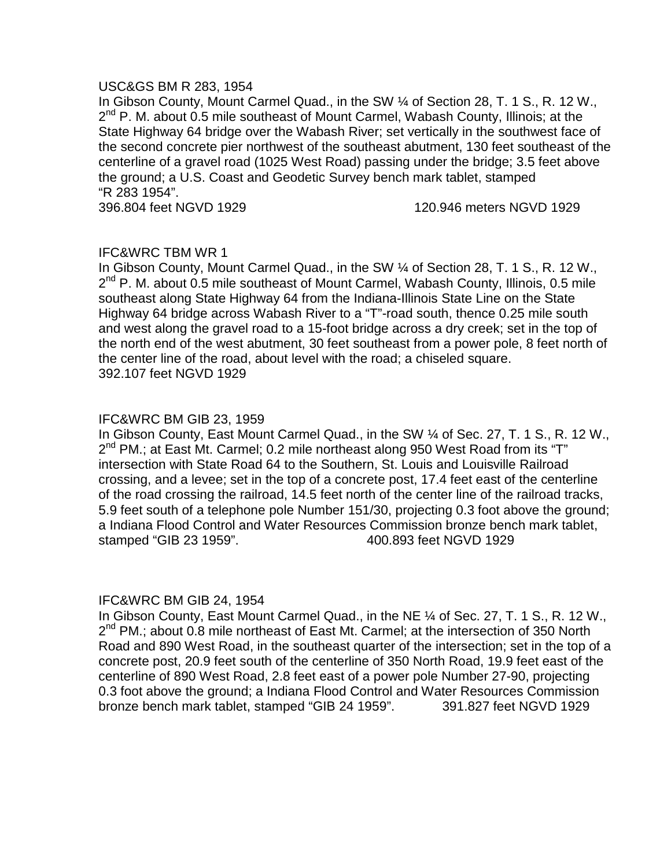## USC&GS BM R 283, 1954

In Gibson County, Mount Carmel Quad., in the SW ¼ of Section 28, T. 1 S., R. 12 W.,  $2^{nd}$  P. M. about 0.5 mile southeast of Mount Carmel, Wabash County, Illinois; at the State Highway 64 bridge over the Wabash River; set vertically in the southwest face of the second concrete pier northwest of the southeast abutment, 130 feet southeast of the centerline of a gravel road (1025 West Road) passing under the bridge; 3.5 feet above the ground; a U.S. Coast and Geodetic Survey bench mark tablet, stamped "R 283 1954".

396.804 feet NGVD 1929 120.946 meters NGVD 1929

# IFC&WRC TBM WR 1

In Gibson County, Mount Carmel Quad., in the SW ¼ of Section 28, T. 1 S., R. 12 W.,  $2^{nd}$  P. M. about 0.5 mile southeast of Mount Carmel, Wabash County, Illinois, 0.5 mile southeast along State Highway 64 from the Indiana-Illinois State Line on the State Highway 64 bridge across Wabash River to a "T"-road south, thence 0.25 mile south and west along the gravel road to a 15-foot bridge across a dry creek; set in the top of the north end of the west abutment, 30 feet southeast from a power pole, 8 feet north of the center line of the road, about level with the road; a chiseled square. 392.107 feet NGVD 1929

## IFC&WRC BM GIB 23, 1959

In Gibson County, East Mount Carmel Quad., in the SW ¼ of Sec. 27, T. 1 S., R. 12 W.,  $2^{nd}$  PM.; at East Mt. Carmel; 0.2 mile northeast along 950 West Road from its "T" intersection with State Road 64 to the Southern, St. Louis and Louisville Railroad crossing, and a levee; set in the top of a concrete post, 17.4 feet east of the centerline of the road crossing the railroad, 14.5 feet north of the center line of the railroad tracks, 5.9 feet south of a telephone pole Number 151/30, projecting 0.3 foot above the ground; a Indiana Flood Control and Water Resources Commission bronze bench mark tablet, stamped "GIB 23 1959". 400.893 feet NGVD 1929

## IFC&WRC BM GIB 24, 1954

In Gibson County, East Mount Carmel Quad., in the NE ¼ of Sec. 27, T. 1 S., R. 12 W., 2<sup>nd</sup> PM.; about 0.8 mile northeast of East Mt. Carmel; at the intersection of 350 North Road and 890 West Road, in the southeast quarter of the intersection; set in the top of a concrete post, 20.9 feet south of the centerline of 350 North Road, 19.9 feet east of the centerline of 890 West Road, 2.8 feet east of a power pole Number 27-90, projecting 0.3 foot above the ground; a Indiana Flood Control and Water Resources Commission bronze bench mark tablet, stamped "GIB 24 1959". 391.827 feet NGVD 1929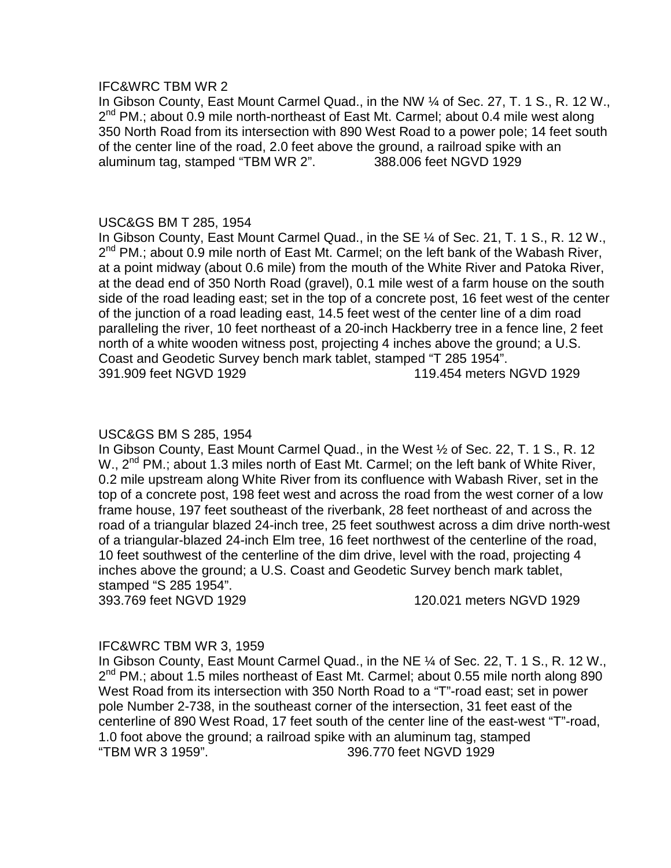#### IFC&WRC TBM WR 2

In Gibson County, East Mount Carmel Quad., in the NW ¼ of Sec. 27, T. 1 S., R. 12 W.,  $2^{nd}$  PM.; about 0.9 mile north-northeast of East Mt. Carmel; about 0.4 mile west along 350 North Road from its intersection with 890 West Road to a power pole; 14 feet south of the center line of the road, 2.0 feet above the ground, a railroad spike with an aluminum tag, stamped "TBM WR 2". 388.006 feet NGVD 1929

# USC&GS BM T 285, 1954

In Gibson County, East Mount Carmel Quad., in the SE ¼ of Sec. 21, T. 1 S., R. 12 W.,  $2^{nd}$  PM.; about 0.9 mile north of East Mt. Carmel; on the left bank of the Wabash River, at a point midway (about 0.6 mile) from the mouth of the White River and Patoka River, at the dead end of 350 North Road (gravel), 0.1 mile west of a farm house on the south side of the road leading east; set in the top of a concrete post, 16 feet west of the center of the junction of a road leading east, 14.5 feet west of the center line of a dim road paralleling the river, 10 feet northeast of a 20-inch Hackberry tree in a fence line, 2 feet north of a white wooden witness post, projecting 4 inches above the ground; a U.S. Coast and Geodetic Survey bench mark tablet, stamped "T 285 1954". 391.909 feet NGVD 1929 119.454 meters NGVD 1929

## USC&GS BM S 285, 1954

In Gibson County, East Mount Carmel Quad., in the West ½ of Sec. 22, T. 1 S., R. 12 W., 2<sup>nd</sup> PM.; about 1.3 miles north of East Mt. Carmel; on the left bank of White River, 0.2 mile upstream along White River from its confluence with Wabash River, set in the top of a concrete post, 198 feet west and across the road from the west corner of a low frame house, 197 feet southeast of the riverbank, 28 feet northeast of and across the road of a triangular blazed 24-inch tree, 25 feet southwest across a dim drive north-west of a triangular-blazed 24-inch Elm tree, 16 feet northwest of the centerline of the road, 10 feet southwest of the centerline of the dim drive, level with the road, projecting 4 inches above the ground; a U.S. Coast and Geodetic Survey bench mark tablet, stamped "S 285 1954".

393.769 feet NGVD 1929 120.021 meters NGVD 1929

## IFC&WRC TBM WR 3, 1959

In Gibson County, East Mount Carmel Quad., in the NE ¼ of Sec. 22, T. 1 S., R. 12 W.,  $2^{nd}$  PM.; about 1.5 miles northeast of East Mt. Carmel; about 0.55 mile north along 890 West Road from its intersection with 350 North Road to a "T"-road east; set in power pole Number 2-738, in the southeast corner of the intersection, 31 feet east of the centerline of 890 West Road, 17 feet south of the center line of the east-west "T"-road, 1.0 foot above the ground; a railroad spike with an aluminum tag, stamped "TBM WR 3 1959". 396.770 feet NGVD 1929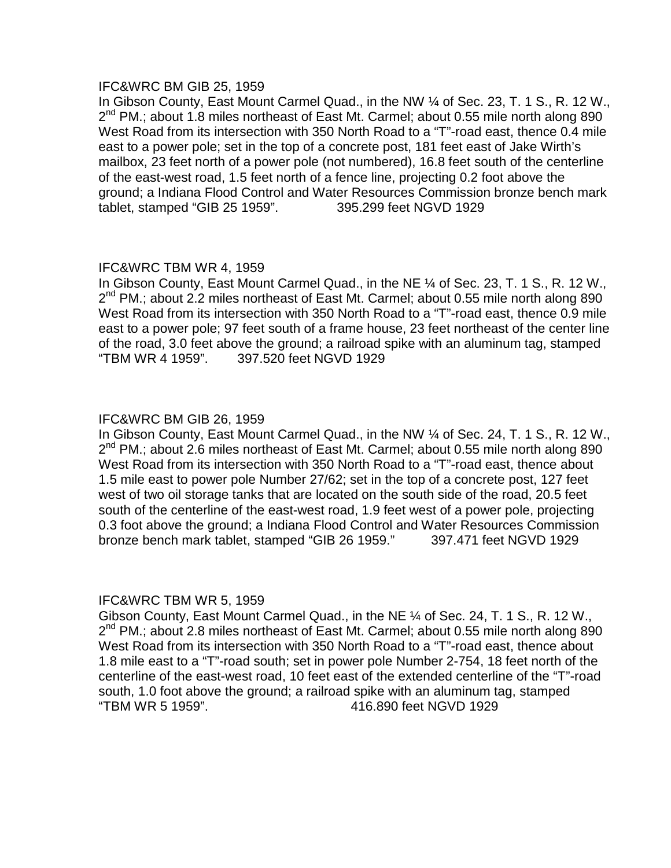## IFC&WRC BM GIB 25, 1959

In Gibson County, East Mount Carmel Quad., in the NW ¼ of Sec. 23, T. 1 S., R. 12 W.,  $2^{nd}$  PM.; about 1.8 miles northeast of East Mt. Carmel; about 0.55 mile north along 890 West Road from its intersection with 350 North Road to a "T"-road east, thence 0.4 mile east to a power pole; set in the top of a concrete post, 181 feet east of Jake Wirth's mailbox, 23 feet north of a power pole (not numbered), 16.8 feet south of the centerline of the east-west road, 1.5 feet north of a fence line, projecting 0.2 foot above the ground; a Indiana Flood Control and Water Resources Commission bronze bench mark tablet, stamped "GIB 25 1959". 395.299 feet NGVD 1929

# IFC&WRC TBM WR 4, 1959

In Gibson County, East Mount Carmel Quad., in the NE ¼ of Sec. 23, T. 1 S., R. 12 W.,  $2^{nd}$  PM.; about 2.2 miles northeast of East Mt. Carmel; about 0.55 mile north along 890 West Road from its intersection with 350 North Road to a "T"-road east, thence 0.9 mile east to a power pole; 97 feet south of a frame house, 23 feet northeast of the center line of the road, 3.0 feet above the ground; a railroad spike with an aluminum tag, stamped "TBM WR 4 1959". 397.520 feet NGVD 1929

# IFC&WRC BM GIB 26, 1959

In Gibson County, East Mount Carmel Quad., in the NW ¼ of Sec. 24, T. 1 S., R. 12 W.,  $2^{nd}$  PM.; about 2.6 miles northeast of East Mt. Carmel; about 0.55 mile north along 890 West Road from its intersection with 350 North Road to a "T"-road east, thence about 1.5 mile east to power pole Number 27/62; set in the top of a concrete post, 127 feet west of two oil storage tanks that are located on the south side of the road, 20.5 feet south of the centerline of the east-west road, 1.9 feet west of a power pole, projecting 0.3 foot above the ground; a Indiana Flood Control and Water Resources Commission bronze bench mark tablet, stamped "GIB 26 1959." 397.471 feet NGVD 1929

# IFC&WRC TBM WR 5, 1959

Gibson County, East Mount Carmel Quad., in the NE ¼ of Sec. 24, T. 1 S., R. 12 W., 2<sup>nd</sup> PM.; about 2.8 miles northeast of East Mt. Carmel; about 0.55 mile north along 890 West Road from its intersection with 350 North Road to a "T"-road east, thence about 1.8 mile east to a "T"-road south; set in power pole Number 2-754, 18 feet north of the centerline of the east-west road, 10 feet east of the extended centerline of the "T"-road south, 1.0 foot above the ground; a railroad spike with an aluminum tag, stamped "TBM WR 5 1959". 416.890 feet NGVD 1929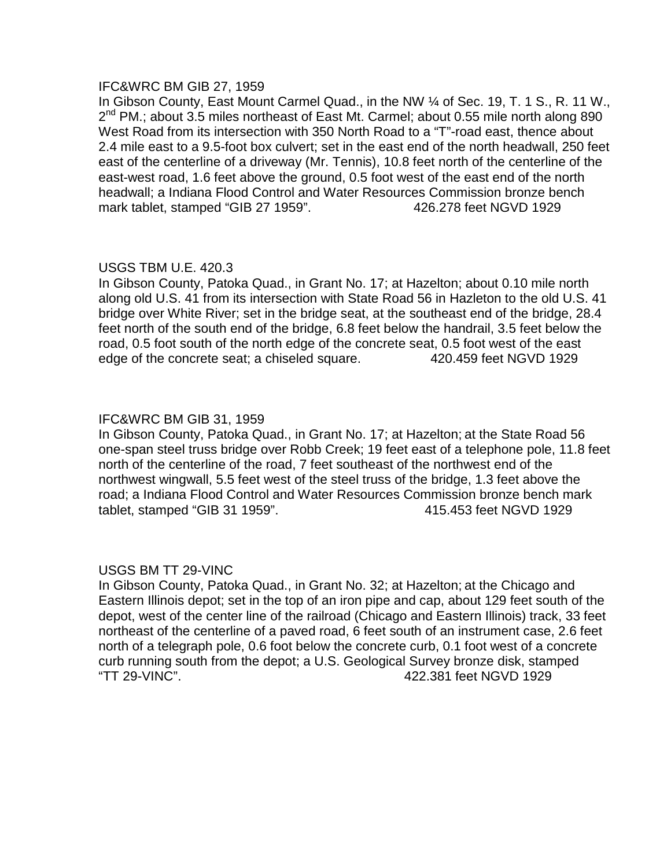## IFC&WRC BM GIB 27, 1959

In Gibson County, East Mount Carmel Quad., in the NW ¼ of Sec. 19, T. 1 S., R. 11 W.,  $2^{nd}$  PM.; about 3.5 miles northeast of East Mt. Carmel; about 0.55 mile north along 890 West Road from its intersection with 350 North Road to a "T"-road east, thence about 2.4 mile east to a 9.5-foot box culvert; set in the east end of the north headwall, 250 feet east of the centerline of a driveway (Mr. Tennis), 10.8 feet north of the centerline of the east-west road, 1.6 feet above the ground, 0.5 foot west of the east end of the north headwall; a Indiana Flood Control and Water Resources Commission bronze bench mark tablet, stamped "GIB 27 1959". 426.278 feet NGVD 1929

# USGS TBM U.E. 420.3

In Gibson County, Patoka Quad., in Grant No. 17; at Hazelton; about 0.10 mile north along old U.S. 41 from its intersection with State Road 56 in Hazleton to the old U.S. 41 bridge over White River; set in the bridge seat, at the southeast end of the bridge, 28.4 feet north of the south end of the bridge, 6.8 feet below the handrail, 3.5 feet below the road, 0.5 foot south of the north edge of the concrete seat, 0.5 foot west of the east edge of the concrete seat; a chiseled square. 420.459 feet NGVD 1929

## IFC&WRC BM GIB 31, 1959

In Gibson County, Patoka Quad., in Grant No. 17; at Hazelton; at the State Road 56 one-span steel truss bridge over Robb Creek; 19 feet east of a telephone pole, 11.8 feet north of the centerline of the road, 7 feet southeast of the northwest end of the northwest wingwall, 5.5 feet west of the steel truss of the bridge, 1.3 feet above the road; a Indiana Flood Control and Water Resources Commission bronze bench mark tablet, stamped "GIB 31 1959". 415.453 feet NGVD 1929

## USGS BM TT 29-VINC

In Gibson County, Patoka Quad., in Grant No. 32; at Hazelton; at the Chicago and Eastern Illinois depot; set in the top of an iron pipe and cap, about 129 feet south of the depot, west of the center line of the railroad (Chicago and Eastern Illinois) track, 33 feet northeast of the centerline of a paved road, 6 feet south of an instrument case, 2.6 feet north of a telegraph pole, 0.6 foot below the concrete curb, 0.1 foot west of a concrete curb running south from the depot; a U.S. Geological Survey bronze disk, stamped "TT 29-VINC". 422.381 feet NGVD 1929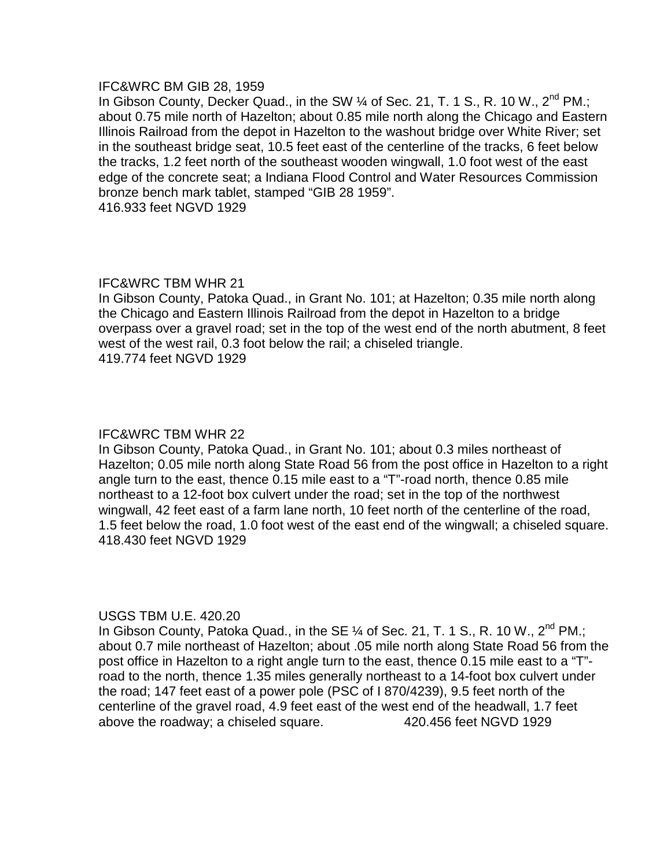## IFC&WRC BM GIB 28, 1959

In Gibson County, Decker Quad., in the SW 1/4 of Sec. 21, T. 1 S., R. 10 W., 2<sup>nd</sup> PM.; about 0.75 mile north of Hazelton; about 0.85 mile north along the Chicago and Eastern Illinois Railroad from the depot in Hazelton to the washout bridge over White River; set in the southeast bridge seat, 10.5 feet east of the centerline of the tracks, 6 feet below the tracks, 1.2 feet north of the southeast wooden wingwall, 1.0 foot west of the east edge of the concrete seat; a Indiana Flood Control and Water Resources Commission bronze bench mark tablet, stamped "GIB 28 1959". 416.933 feet NGVD 1929

# IFC&WRC TBM WHR 21

In Gibson County, Patoka Quad., in Grant No. 101; at Hazelton; 0.35 mile north along the Chicago and Eastern Illinois Railroad from the depot in Hazelton to a bridge overpass over a gravel road; set in the top of the west end of the north abutment, 8 feet west of the west rail, 0.3 foot below the rail; a chiseled triangle. 419.774 feet NGVD 1929

# IFC&WRC TBM WHR 22

In Gibson County, Patoka Quad., in Grant No. 101; about 0.3 miles northeast of Hazelton; 0.05 mile north along State Road 56 from the post office in Hazelton to a right angle turn to the east, thence 0.15 mile east to a "T"-road north, thence 0.85 mile northeast to a 12-foot box culvert under the road; set in the top of the northwest wingwall, 42 feet east of a farm lane north, 10 feet north of the centerline of the road, 1.5 feet below the road, 1.0 foot west of the east end of the wingwall; a chiseled square. 418.430 feet NGVD 1929

## USGS TBM U.E. 420.20

In Gibson County, Patoka Quad., in the SE  $\%$  of Sec. 21, T. 1 S., R. 10 W., 2<sup>nd</sup> PM.; about 0.7 mile northeast of Hazelton; about .05 mile north along State Road 56 from the post office in Hazelton to a right angle turn to the east, thence 0.15 mile east to a "T" road to the north, thence 1.35 miles generally northeast to a 14-foot box culvert under the road; 147 feet east of a power pole (PSC of I 870/4239), 9.5 feet north of the centerline of the gravel road, 4.9 feet east of the west end of the headwall, 1.7 feet above the roadway; a chiseled square. 420.456 feet NGVD 1929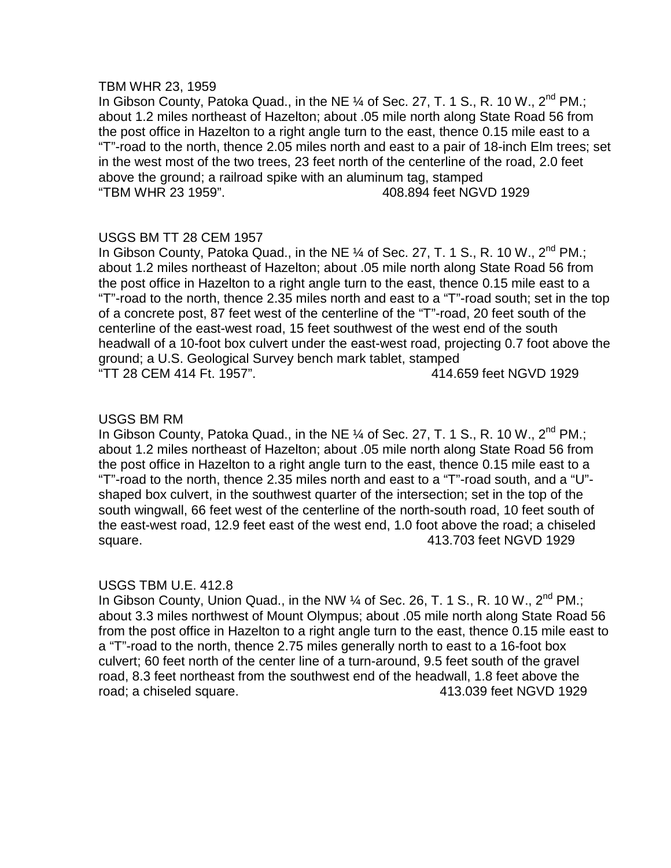#### TBM WHR 23, 1959

In Gibson County, Patoka Quad., in the NE  $\%$  of Sec. 27, T. 1 S., R. 10 W., 2<sup>nd</sup> PM.; about 1.2 miles northeast of Hazelton; about .05 mile north along State Road 56 from the post office in Hazelton to a right angle turn to the east, thence 0.15 mile east to a "T"-road to the north, thence 2.05 miles north and east to a pair of 18-inch Elm trees; set in the west most of the two trees, 23 feet north of the centerline of the road, 2.0 feet above the ground; a railroad spike with an aluminum tag, stamped "TBM WHR 23 1959". 408.894 feet NGVD 1929

# USGS BM TT 28 CEM 1957

In Gibson County, Patoka Quad., in the NE  $\%$  of Sec. 27, T. 1 S., R. 10 W., 2<sup>nd</sup> PM.; about 1.2 miles northeast of Hazelton; about .05 mile north along State Road 56 from the post office in Hazelton to a right angle turn to the east, thence 0.15 mile east to a "T"-road to the north, thence 2.35 miles north and east to a "T"-road south; set in the top of a concrete post, 87 feet west of the centerline of the "T"-road, 20 feet south of the centerline of the east-west road, 15 feet southwest of the west end of the south headwall of a 10-foot box culvert under the east-west road, projecting 0.7 foot above the ground; a U.S. Geological Survey bench mark tablet, stamped "TT 28 CEM 414 Ft. 1957". 414.659 feet NGVD 1929

# USGS BM RM

In Gibson County, Patoka Quad., in the NE  $\%$  of Sec. 27, T. 1 S., R. 10 W., 2<sup>nd</sup> PM.; about 1.2 miles northeast of Hazelton; about .05 mile north along State Road 56 from the post office in Hazelton to a right angle turn to the east, thence 0.15 mile east to a "T"-road to the north, thence 2.35 miles north and east to a "T"-road south, and a "U" shaped box culvert, in the southwest quarter of the intersection; set in the top of the south wingwall, 66 feet west of the centerline of the north-south road, 10 feet south of the east-west road, 12.9 feet east of the west end, 1.0 foot above the road; a chiseled square. 413.703 feet NGVD 1929

## USGS TBM U.E. 412.8

In Gibson County, Union Quad., in the NW  $\frac{1}{4}$  of Sec. 26, T. 1 S., R. 10 W., 2<sup>nd</sup> PM.; about 3.3 miles northwest of Mount Olympus; about .05 mile north along State Road 56 from the post office in Hazelton to a right angle turn to the east, thence 0.15 mile east to a "T"-road to the north, thence 2.75 miles generally north to east to a 16-foot box culvert; 60 feet north of the center line of a turn-around, 9.5 feet south of the gravel road, 8.3 feet northeast from the southwest end of the headwall, 1.8 feet above the road; a chiseled square. 413.039 feet NGVD 1929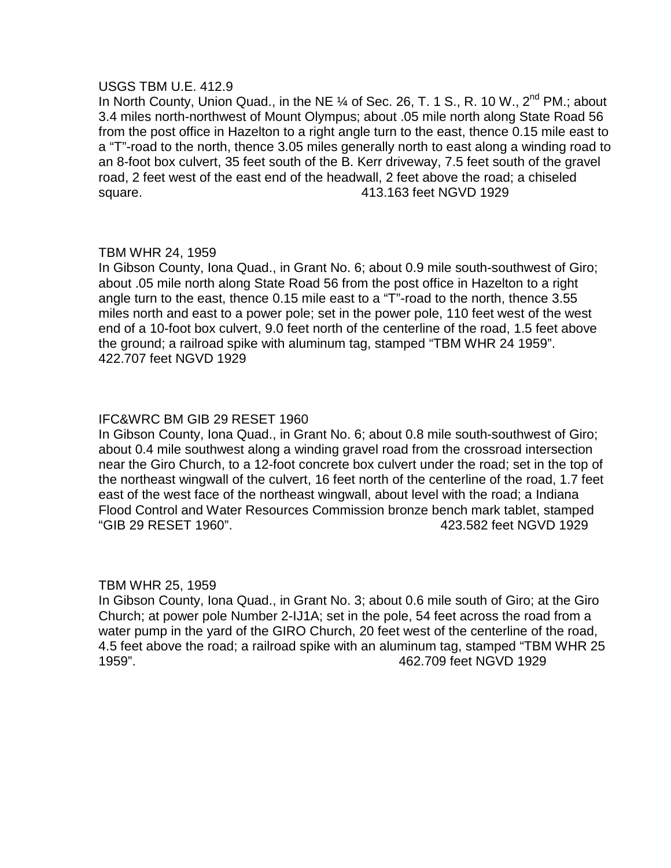## USGS TBM U.E. 412.9

In North County, Union Quad., in the NE 1/4 of Sec. 26, T. 1 S., R. 10 W., 2<sup>nd</sup> PM.; about 3.4 miles north-northwest of Mount Olympus; about .05 mile north along State Road 56 from the post office in Hazelton to a right angle turn to the east, thence 0.15 mile east to a "T"-road to the north, thence 3.05 miles generally north to east along a winding road to an 8-foot box culvert, 35 feet south of the B. Kerr driveway, 7.5 feet south of the gravel road, 2 feet west of the east end of the headwall, 2 feet above the road; a chiseled square. 413.163 feet NGVD 1929

# TBM WHR 24, 1959

In Gibson County, Iona Quad., in Grant No. 6; about 0.9 mile south-southwest of Giro; about .05 mile north along State Road 56 from the post office in Hazelton to a right angle turn to the east, thence 0.15 mile east to a "T"-road to the north, thence 3.55 miles north and east to a power pole; set in the power pole, 110 feet west of the west end of a 10-foot box culvert, 9.0 feet north of the centerline of the road, 1.5 feet above the ground; a railroad spike with aluminum tag, stamped "TBM WHR 24 1959". 422.707 feet NGVD 1929

# IFC&WRC BM GIB 29 RESET 1960

In Gibson County, Iona Quad., in Grant No. 6; about 0.8 mile south-southwest of Giro; about 0.4 mile southwest along a winding gravel road from the crossroad intersection near the Giro Church, to a 12-foot concrete box culvert under the road; set in the top of the northeast wingwall of the culvert, 16 feet north of the centerline of the road, 1.7 feet east of the west face of the northeast wingwall, about level with the road; a Indiana Flood Control and Water Resources Commission bronze bench mark tablet, stamped "GIB 29 RESET 1960". 423.582 feet NGVD 1929

## TBM WHR 25, 1959

In Gibson County, Iona Quad., in Grant No. 3; about 0.6 mile south of Giro; at the Giro Church; at power pole Number 2-IJ1A; set in the pole, 54 feet across the road from a water pump in the yard of the GIRO Church, 20 feet west of the centerline of the road, 4.5 feet above the road; a railroad spike with an aluminum tag, stamped "TBM WHR 25 1959". 462.709 feet NGVD 1929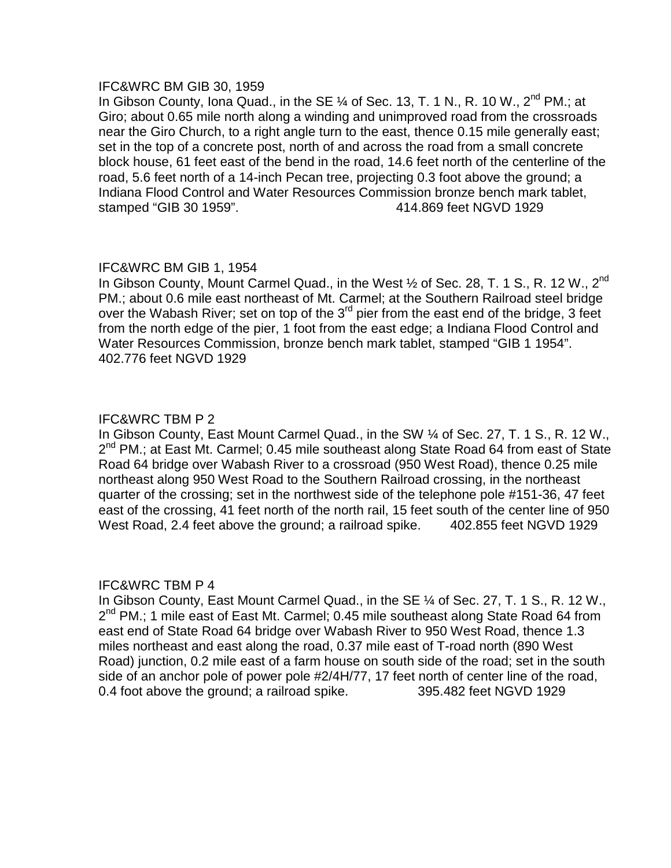#### IFC&WRC BM GIB 30, 1959

In Gibson County, Iona Quad., in the SE  $\%$  of Sec. 13, T. 1 N., R. 10 W., 2<sup>nd</sup> PM.; at Giro; about 0.65 mile north along a winding and unimproved road from the crossroads near the Giro Church, to a right angle turn to the east, thence 0.15 mile generally east; set in the top of a concrete post, north of and across the road from a small concrete block house, 61 feet east of the bend in the road, 14.6 feet north of the centerline of the road, 5.6 feet north of a 14-inch Pecan tree, projecting 0.3 foot above the ground; a Indiana Flood Control and Water Resources Commission bronze bench mark tablet, stamped "GIB 30 1959". 414.869 feet NGVD 1929

# IFC&WRC BM GIB 1, 1954

In Gibson County, Mount Carmel Quad., in the West  $\frac{1}{2}$  of Sec. 28, T. 1 S., R. 12 W., 2<sup>nd</sup> PM.; about 0.6 mile east northeast of Mt. Carmel; at the Southern Railroad steel bridge over the Wabash River; set on top of the 3<sup>rd</sup> pier from the east end of the bridge, 3 feet from the north edge of the pier, 1 foot from the east edge; a Indiana Flood Control and Water Resources Commission, bronze bench mark tablet, stamped "GIB 1 1954". 402.776 feet NGVD 1929

## IFC&WRC TBM P 2

In Gibson County, East Mount Carmel Quad., in the SW ¼ of Sec. 27, T. 1 S., R. 12 W.,  $2^{nd}$  PM.; at East Mt. Carmel; 0.45 mile southeast along State Road 64 from east of State Road 64 bridge over Wabash River to a crossroad (950 West Road), thence 0.25 mile northeast along 950 West Road to the Southern Railroad crossing, in the northeast quarter of the crossing; set in the northwest side of the telephone pole #151-36, 47 feet east of the crossing, 41 feet north of the north rail, 15 feet south of the center line of 950 West Road, 2.4 feet above the ground; a railroad spike. 402.855 feet NGVD 1929

## IFC&WRC TBM P 4

In Gibson County, East Mount Carmel Quad., in the SE ¼ of Sec. 27, T. 1 S., R. 12 W., 2<sup>nd</sup> PM.; 1 mile east of East Mt. Carmel; 0.45 mile southeast along State Road 64 from east end of State Road 64 bridge over Wabash River to 950 West Road, thence 1.3 miles northeast and east along the road, 0.37 mile east of T-road north (890 West Road) junction, 0.2 mile east of a farm house on south side of the road; set in the south side of an anchor pole of power pole #2/4H/77, 17 feet north of center line of the road, 0.4 foot above the ground; a railroad spike. 395.482 feet NGVD 1929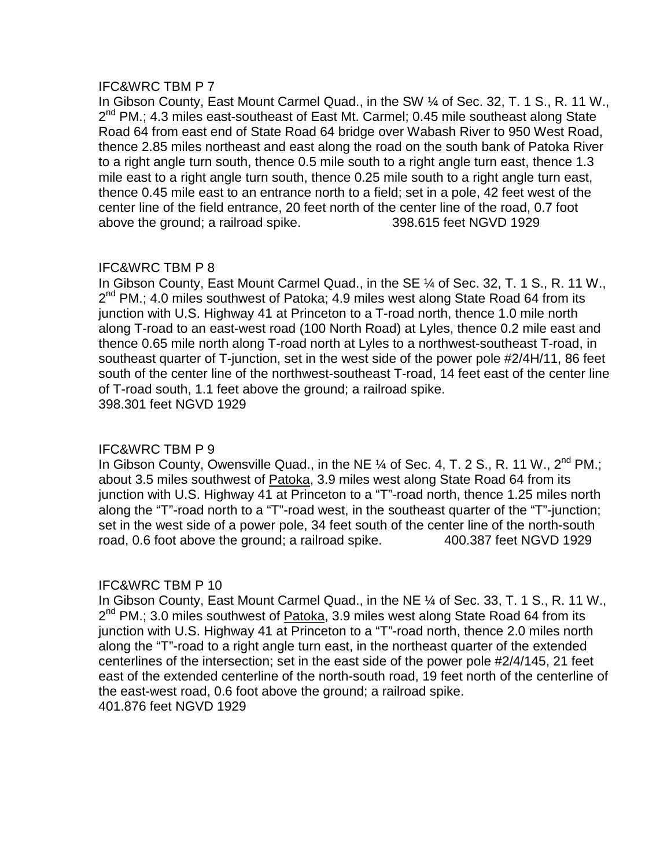In Gibson County, East Mount Carmel Quad., in the SW ¼ of Sec. 32, T. 1 S., R. 11 W., 2<sup>nd</sup> PM.; 4.3 miles east-southeast of East Mt. Carmel; 0.45 mile southeast along State Road 64 from east end of State Road 64 bridge over Wabash River to 950 West Road, thence 2.85 miles northeast and east along the road on the south bank of Patoka River to a right angle turn south, thence 0.5 mile south to a right angle turn east, thence 1.3 mile east to a right angle turn south, thence 0.25 mile south to a right angle turn east, thence 0.45 mile east to an entrance north to a field; set in a pole, 42 feet west of the center line of the field entrance, 20 feet north of the center line of the road, 0.7 foot above the ground; a railroad spike. 398.615 feet NGVD 1929

# IFC&WRC TBM P 8

In Gibson County, East Mount Carmel Quad., in the SE ¼ of Sec. 32, T. 1 S., R. 11 W.,  $2^{nd}$  PM.; 4.0 miles southwest of Patoka; 4.9 miles west along State Road 64 from its junction with U.S. Highway 41 at Princeton to a T-road north, thence 1.0 mile north along T-road to an east-west road (100 North Road) at Lyles, thence 0.2 mile east and thence 0.65 mile north along T-road north at Lyles to a northwest-southeast T-road, in southeast quarter of T-junction, set in the west side of the power pole #2/4H/11, 86 feet south of the center line of the northwest-southeast T-road, 14 feet east of the center line of T-road south, 1.1 feet above the ground; a railroad spike. 398.301 feet NGVD 1929

# IFC&WRC TBM P 9

In Gibson County, Owensville Quad., in the NE  $\%$  of Sec. 4, T. 2 S., R. 11 W., 2<sup>nd</sup> PM.; about 3.5 miles southwest of Patoka, 3.9 miles west along State Road 64 from its junction with U.S. Highway 41 at Princeton to a "T"-road north, thence 1.25 miles north along the "T"-road north to a "T"-road west, in the southeast quarter of the "T"-junction; set in the west side of a power pole, 34 feet south of the center line of the north-south road, 0.6 foot above the ground; a railroad spike. 400.387 feet NGVD 1929

# IFC&WRC TBM P 10

In Gibson County, East Mount Carmel Quad., in the NE ¼ of Sec. 33, T. 1 S., R. 11 W.,  $2<sup>nd</sup> PM$ .; 3.0 miles southwest of Patoka, 3.9 miles west along State Road 64 from its junction with U.S. Highway 41 at Princeton to a "T"-road north, thence 2.0 miles north along the "T"-road to a right angle turn east, in the northeast quarter of the extended centerlines of the intersection; set in the east side of the power pole #2/4/145, 21 feet east of the extended centerline of the north-south road, 19 feet north of the centerline of the east-west road, 0.6 foot above the ground; a railroad spike. 401.876 feet NGVD 1929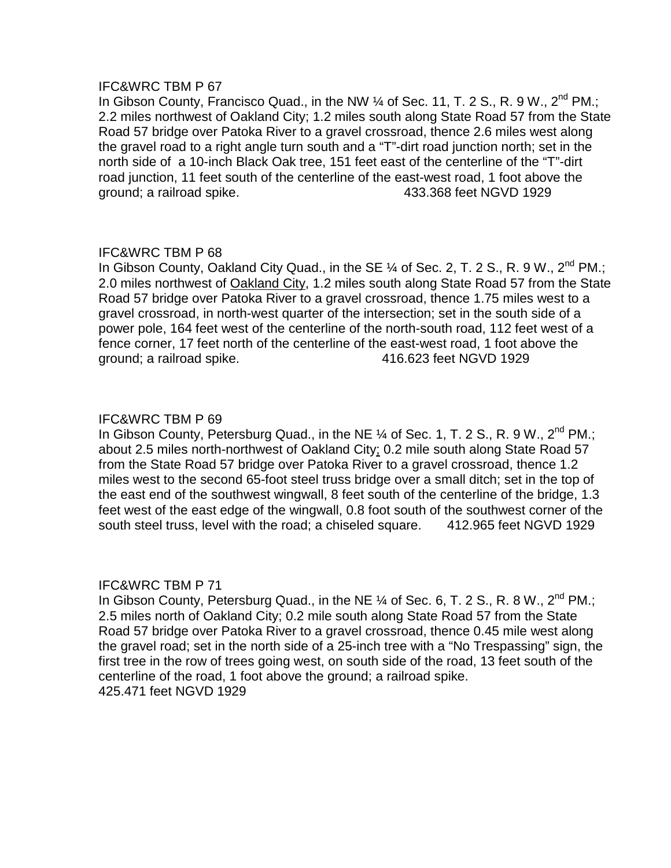In Gibson County, Francisco Quad., in the NW 1/4 of Sec. 11, T. 2 S., R. 9 W., 2<sup>nd</sup> PM.; 2.2 miles northwest of Oakland City; 1.2 miles south along State Road 57 from the State Road 57 bridge over Patoka River to a gravel crossroad, thence 2.6 miles west along the gravel road to a right angle turn south and a "T"-dirt road junction north; set in the north side of a 10-inch Black Oak tree, 151 feet east of the centerline of the "T"-dirt road junction, 11 feet south of the centerline of the east-west road, 1 foot above the ground; a railroad spike. 433.368 feet NGVD 1929

# IFC&WRC TBM P 68

In Gibson County, Oakland City Quad., in the SE  $\%$  of Sec. 2, T. 2 S., R. 9 W., 2<sup>nd</sup> PM.; 2.0 miles northwest of Oakland City, 1.2 miles south along State Road 57 from the State Road 57 bridge over Patoka River to a gravel crossroad, thence 1.75 miles west to a gravel crossroad, in north-west quarter of the intersection; set in the south side of a power pole, 164 feet west of the centerline of the north-south road, 112 feet west of a fence corner, 17 feet north of the centerline of the east-west road, 1 foot above the ground; a railroad spike. 416.623 feet NGVD 1929

## IFC&WRC TBM P 69

In Gibson County, Petersburg Quad., in the NE  $\%$  of Sec. 1, T. 2 S., R. 9 W., 2<sup>nd</sup> PM.; about 2.5 miles north-northwest of Oakland City; 0.2 mile south along State Road 57 from the State Road 57 bridge over Patoka River to a gravel crossroad, thence 1.2 miles west to the second 65-foot steel truss bridge over a small ditch; set in the top of the east end of the southwest wingwall, 8 feet south of the centerline of the bridge, 1.3 feet west of the east edge of the wingwall, 0.8 foot south of the southwest corner of the south steel truss, level with the road; a chiseled square. 412.965 feet NGVD 1929

## IFC&WRC TBM P 71

In Gibson County, Petersburg Quad., in the NE  $\%$  of Sec. 6, T. 2 S., R. 8 W., 2<sup>nd</sup> PM.; 2.5 miles north of Oakland City; 0.2 mile south along State Road 57 from the State Road 57 bridge over Patoka River to a gravel crossroad, thence 0.45 mile west along the gravel road; set in the north side of a 25-inch tree with a "No Trespassing" sign, the first tree in the row of trees going west, on south side of the road, 13 feet south of the centerline of the road, 1 foot above the ground; a railroad spike. 425.471 feet NGVD 1929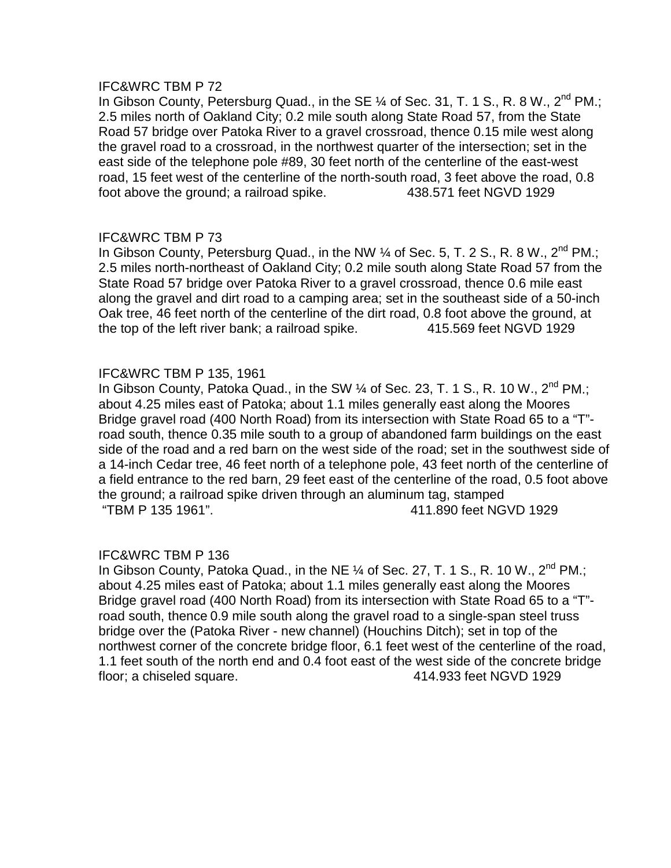In Gibson County, Petersburg Quad., in the SE  $\%$  of Sec. 31, T. 1 S., R. 8 W., 2<sup>nd</sup> PM.; 2.5 miles north of Oakland City; 0.2 mile south along State Road 57, from the State Road 57 bridge over Patoka River to a gravel crossroad, thence 0.15 mile west along the gravel road to a crossroad, in the northwest quarter of the intersection; set in the east side of the telephone pole #89, 30 feet north of the centerline of the east-west road, 15 feet west of the centerline of the north-south road, 3 feet above the road, 0.8 foot above the ground; a railroad spike. 438.571 feet NGVD 1929

# IFC&WRC TBM P 73

In Gibson County, Petersburg Quad., in the NW  $\%$  of Sec. 5, T. 2 S., R. 8 W., 2<sup>nd</sup> PM.; 2.5 miles north-northeast of Oakland City; 0.2 mile south along State Road 57 from the State Road 57 bridge over Patoka River to a gravel crossroad, thence 0.6 mile east along the gravel and dirt road to a camping area; set in the southeast side of a 50-inch Oak tree, 46 feet north of the centerline of the dirt road, 0.8 foot above the ground, at the top of the left river bank; a railroad spike. 415.569 feet NGVD 1929

# IFC&WRC TBM P 135, 1961

In Gibson County, Patoka Quad., in the SW  $\%$  of Sec. 23, T. 1 S., R. 10 W., 2<sup>nd</sup> PM.; about 4.25 miles east of Patoka; about 1.1 miles generally east along the Moores Bridge gravel road (400 North Road) from its intersection with State Road 65 to a "T" road south, thence 0.35 mile south to a group of abandoned farm buildings on the east side of the road and a red barn on the west side of the road; set in the southwest side of a 14-inch Cedar tree, 46 feet north of a telephone pole, 43 feet north of the centerline of a field entrance to the red barn, 29 feet east of the centerline of the road, 0.5 foot above the ground; a railroad spike driven through an aluminum tag, stamped "TBM P 135 1961". 411.890 feet NGVD 1929

# IFC&WRC TBM P 136

In Gibson County, Patoka Quad., in the NE  $\%$  of Sec. 27, T. 1 S., R. 10 W., 2<sup>nd</sup> PM.; about 4.25 miles east of Patoka; about 1.1 miles generally east along the Moores Bridge gravel road (400 North Road) from its intersection with State Road 65 to a "T" road south, thence 0.9 mile south along the gravel road to a single-span steel truss bridge over the (Patoka River - new channel) (Houchins Ditch); set in top of the northwest corner of the concrete bridge floor, 6.1 feet west of the centerline of the road, 1.1 feet south of the north end and 0.4 foot east of the west side of the concrete bridge floor; a chiseled square. 414.933 feet NGVD 1929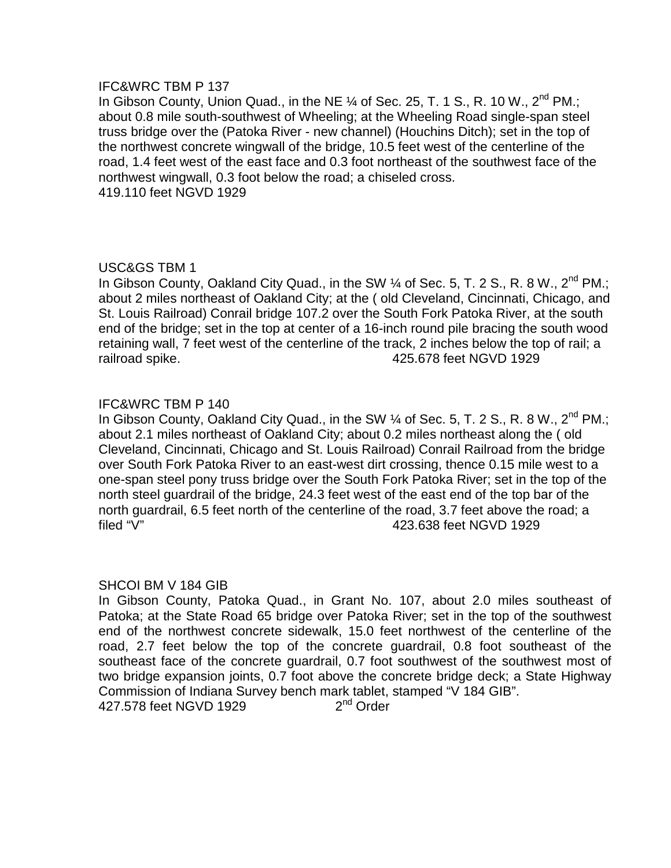In Gibson County, Union Quad., in the NE  $\%$  of Sec. 25, T. 1 S., R. 10 W., 2<sup>nd</sup> PM.; about 0.8 mile south-southwest of Wheeling; at the Wheeling Road single-span steel truss bridge over the (Patoka River - new channel) (Houchins Ditch); set in the top of the northwest concrete wingwall of the bridge, 10.5 feet west of the centerline of the road, 1.4 feet west of the east face and 0.3 foot northeast of the southwest face of the northwest wingwall, 0.3 foot below the road; a chiseled cross. 419.110 feet NGVD 1929

# USC&GS TBM 1

In Gibson County, Oakland City Quad., in the SW  $\%$  of Sec. 5, T. 2 S., R. 8 W., 2<sup>nd</sup> PM.; about 2 miles northeast of Oakland City; at the ( old Cleveland, Cincinnati, Chicago, and St. Louis Railroad) Conrail bridge 107.2 over the South Fork Patoka River, at the south end of the bridge; set in the top at center of a 16-inch round pile bracing the south wood retaining wall, 7 feet west of the centerline of the track, 2 inches below the top of rail; a railroad spike. 425.678 feet NGVD 1929

# IFC&WRC TBM P 140

In Gibson County, Oakland City Quad., in the SW  $\%$  of Sec. 5, T. 2 S., R. 8 W., 2<sup>nd</sup> PM.; about 2.1 miles northeast of Oakland City; about 0.2 miles northeast along the ( old Cleveland, Cincinnati, Chicago and St. Louis Railroad) Conrail Railroad from the bridge over South Fork Patoka River to an east-west dirt crossing, thence 0.15 mile west to a one-span steel pony truss bridge over the South Fork Patoka River; set in the top of the north steel guardrail of the bridge, 24.3 feet west of the east end of the top bar of the north guardrail, 6.5 feet north of the centerline of the road, 3.7 feet above the road; a filed "V" 423.638 feet NGVD 1929

## SHCOI BM V 184 GIB

In Gibson County, Patoka Quad., in Grant No. 107, about 2.0 miles southeast of Patoka; at the State Road 65 bridge over Patoka River; set in the top of the southwest end of the northwest concrete sidewalk, 15.0 feet northwest of the centerline of the road, 2.7 feet below the top of the concrete guardrail, 0.8 foot southeast of the southeast face of the concrete guardrail, 0.7 foot southwest of the southwest most of two bridge expansion joints, 0.7 foot above the concrete bridge deck; a State Highway Commission of Indiana Survey bench mark tablet, stamped "V 184 GIB". 427.578 feet NGVD 1929 2<sup>nd</sup> Order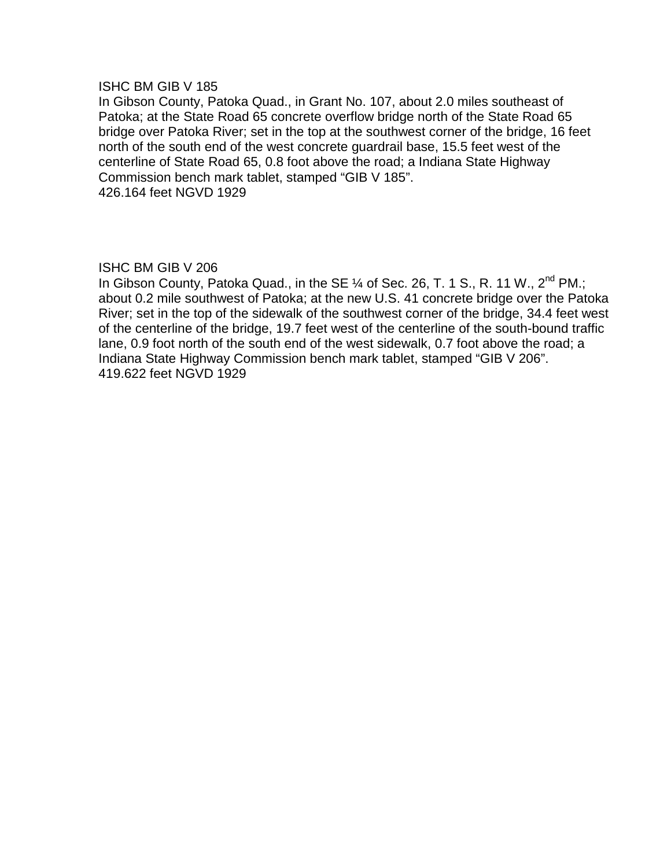#### ISHC BM GIB V 185

In Gibson County, Patoka Quad., in Grant No. 107, about 2.0 miles southeast of Patoka; at the State Road 65 concrete overflow bridge north of the State Road 65 bridge over Patoka River; set in the top at the southwest corner of the bridge, 16 feet north of the south end of the west concrete guardrail base, 15.5 feet west of the centerline of State Road 65, 0.8 foot above the road; a Indiana State Highway Commission bench mark tablet, stamped "GIB V 185". 426.164 feet NGVD 1929

## ISHC BM GIB V 206

In Gibson County, Patoka Quad., in the SE  $\%$  of Sec. 26, T. 1 S., R. 11 W., 2<sup>nd</sup> PM.; about 0.2 mile southwest of Patoka; at the new U.S. 41 concrete bridge over the Patoka River; set in the top of the sidewalk of the southwest corner of the bridge, 34.4 feet west of the centerline of the bridge, 19.7 feet west of the centerline of the south-bound traffic lane, 0.9 foot north of the south end of the west sidewalk, 0.7 foot above the road; a Indiana State Highway Commission bench mark tablet, stamped "GIB V 206". 419.622 feet NGVD 1929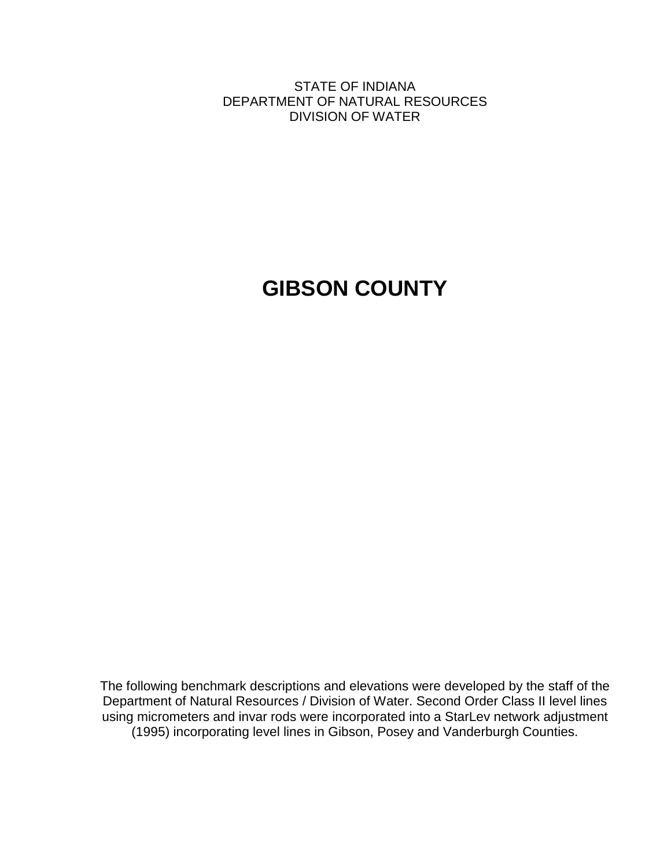STATE OF INDIANA DEPARTMENT OF NATURAL RESOURCES DIVISION OF WATER

# **GIBSON COUNTY**

The following benchmark descriptions and elevations were developed by the staff of the Department of Natural Resources / Division of Water. Second Order Class II level lines using micrometers and invar rods were incorporated into a StarLev network adjustment (1995) incorporating level lines in Gibson, Posey and Vanderburgh Counties.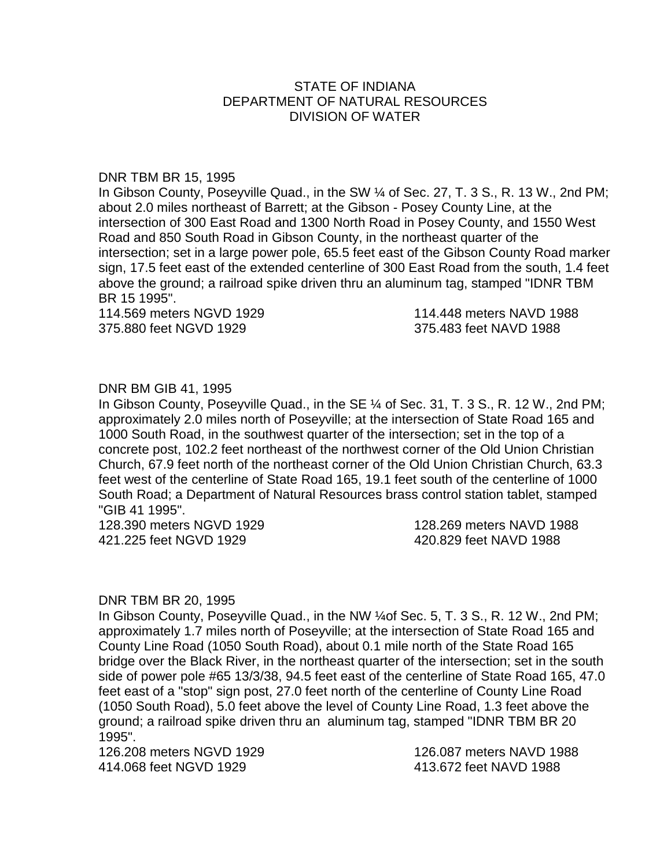# STATE OF INDIANA DEPARTMENT OF NATURAL RESOURCES DIVISION OF WATER

#### DNR TBM BR 15, 1995

In Gibson County, Poseyville Quad., in the SW ¼ of Sec. 27, T. 3 S., R. 13 W., 2nd PM; about 2.0 miles northeast of Barrett; at the Gibson - Posey County Line, at the intersection of 300 East Road and 1300 North Road in Posey County, and 1550 West Road and 850 South Road in Gibson County, in the northeast quarter of the intersection; set in a large power pole, 65.5 feet east of the Gibson County Road marker sign, 17.5 feet east of the extended centerline of 300 East Road from the south, 1.4 feet above the ground; a railroad spike driven thru an aluminum tag, stamped "IDNR TBM BR 15 1995".

375.880 feet NGVD 1929 375.483 feet NAVD 1988

114.569 meters NGVD 1929 114.448 meters NAVD 1988

# DNR BM GIB 41, 1995

In Gibson County, Poseyville Quad., in the SE ¼ of Sec. 31, T. 3 S., R. 12 W., 2nd PM; approximately 2.0 miles north of Poseyville; at the intersection of State Road 165 and 1000 South Road, in the southwest quarter of the intersection; set in the top of a concrete post, 102.2 feet northeast of the northwest corner of the Old Union Christian Church, 67.9 feet north of the northeast corner of the Old Union Christian Church, 63.3 feet west of the centerline of State Road 165, 19.1 feet south of the centerline of 1000 South Road; a Department of Natural Resources brass control station tablet, stamped "GIB 41 1995".

128.390 meters NGVD 1929 128.269 meters NAVD 1988 421.225 feet NGVD 1929 420.829 feet NAVD 1988

#### DNR TBM BR 20, 1995

In Gibson County, Poseyville Quad., in the NW ¼of Sec. 5, T. 3 S., R. 12 W., 2nd PM; approximately 1.7 miles north of Poseyville; at the intersection of State Road 165 and County Line Road (1050 South Road), about 0.1 mile north of the State Road 165 bridge over the Black River, in the northeast quarter of the intersection; set in the south side of power pole #65 13/3/38, 94.5 feet east of the centerline of State Road 165, 47.0 feet east of a "stop" sign post, 27.0 feet north of the centerline of County Line Road (1050 South Road), 5.0 feet above the level of County Line Road, 1.3 feet above the ground; a railroad spike driven thru an aluminum tag, stamped "IDNR TBM BR 20 1995".

126.208 meters NGVD 1929 126.087 meters NAVD 1988 414.068 feet NGVD 1929 413.672 feet NAVD 1988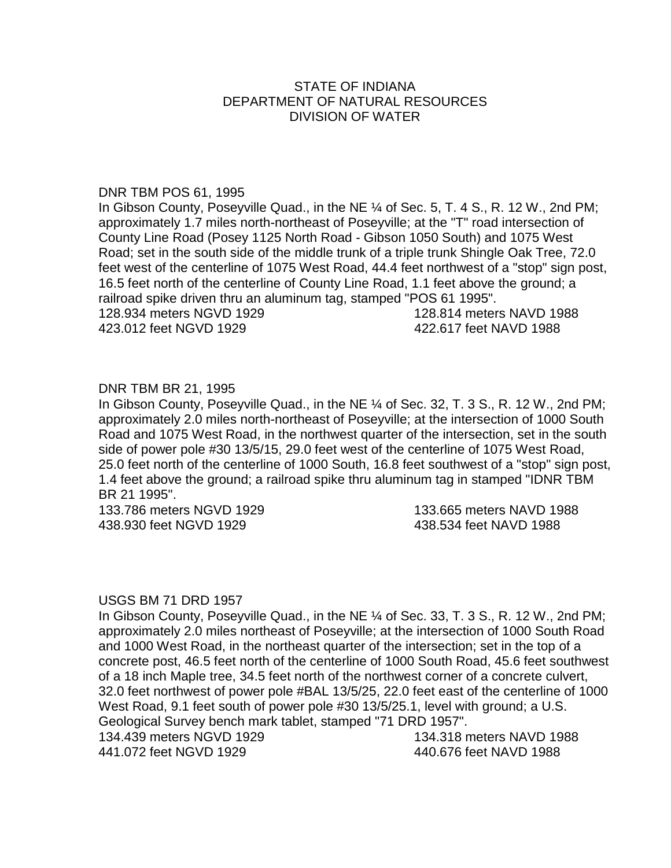# STATE OF INDIANA DEPARTMENT OF NATURAL RESOURCES DIVISION OF WATER

#### DNR TBM POS 61, 1995

In Gibson County, Poseyville Quad., in the NE ¼ of Sec. 5, T. 4 S., R. 12 W., 2nd PM; approximately 1.7 miles north-northeast of Poseyville; at the "T" road intersection of County Line Road (Posey 1125 North Road - Gibson 1050 South) and 1075 West Road; set in the south side of the middle trunk of a triple trunk Shingle Oak Tree, 72.0 feet west of the centerline of 1075 West Road, 44.4 feet northwest of a "stop" sign post, 16.5 feet north of the centerline of County Line Road, 1.1 feet above the ground; a railroad spike driven thru an aluminum tag, stamped "POS 61 1995".

423.012 feet NGVD 1929 422.617 feet NAVD 1988

128.934 meters NGVD 1929 128.814 meters NAVD 1988

## DNR TBM BR 21, 1995

In Gibson County, Poseyville Quad., in the NE ¼ of Sec. 32, T. 3 S., R. 12 W., 2nd PM; approximately 2.0 miles north-northeast of Poseyville; at the intersection of 1000 South Road and 1075 West Road, in the northwest quarter of the intersection, set in the south side of power pole #30 13/5/15, 29.0 feet west of the centerline of 1075 West Road, 25.0 feet north of the centerline of 1000 South, 16.8 feet southwest of a "stop" sign post, 1.4 feet above the ground; a railroad spike thru aluminum tag in stamped "IDNR TBM BR 21 1995".

133.786 meters NGVD 1929 133.665 meters NAVD 1988 438.930 feet NGVD 1929 438.534 feet NAVD 1988

## USGS BM 71 DRD 1957

In Gibson County, Poseyville Quad., in the NE ¼ of Sec. 33, T. 3 S., R. 12 W., 2nd PM; approximately 2.0 miles northeast of Poseyville; at the intersection of 1000 South Road and 1000 West Road, in the northeast quarter of the intersection; set in the top of a concrete post, 46.5 feet north of the centerline of 1000 South Road, 45.6 feet southwest of a 18 inch Maple tree, 34.5 feet north of the northwest corner of a concrete culvert, 32.0 feet northwest of power pole #BAL 13/5/25, 22.0 feet east of the centerline of 1000 West Road, 9.1 feet south of power pole #30 13/5/25.1, level with ground; a U.S. Geological Survey bench mark tablet, stamped "71 DRD 1957". 134.439 meters NGVD 1929 134.318 meters NAVD 1988 441.072 feet NGVD 1929 440.676 feet NAVD 1988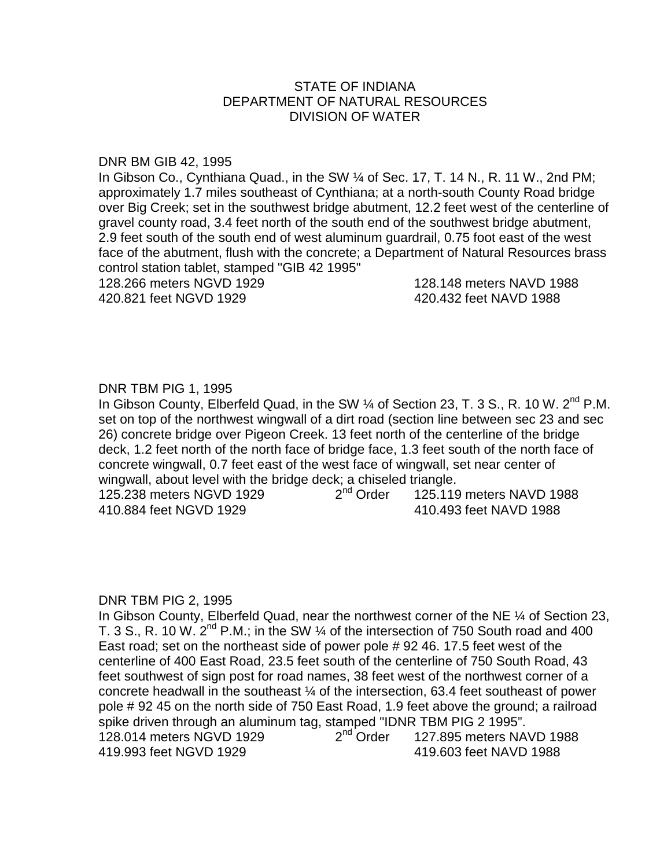# STATE OF INDIANA DEPARTMENT OF NATURAL RESOURCES DIVISION OF WATER

#### DNR BM GIB 42, 1995

In Gibson Co., Cynthiana Quad., in the SW ¼ of Sec. 17, T. 14 N., R. 11 W., 2nd PM; approximately 1.7 miles southeast of Cynthiana; at a north-south County Road bridge over Big Creek; set in the southwest bridge abutment, 12.2 feet west of the centerline of gravel county road, 3.4 feet north of the south end of the southwest bridge abutment, 2.9 feet south of the south end of west aluminum guardrail, 0.75 foot east of the west face of the abutment, flush with the concrete; a Department of Natural Resources brass control station tablet, stamped "GIB 42 1995"

128.266 meters NGVD 1929 128.148 meters NAVD 1988 420.821 feet NGVD 1929 420.432 feet NAVD 1988

## DNR TBM PIG 1, 1995

In Gibson County, Elberfeld Quad, in the SW 1/4 of Section 23, T. 3 S., R. 10 W. 2<sup>nd</sup> P.M. set on top of the northwest wingwall of a dirt road (section line between sec 23 and sec 26) concrete bridge over Pigeon Creek. 13 feet north of the centerline of the bridge deck, 1.2 feet north of the north face of bridge face, 1.3 feet south of the north face of concrete wingwall, 0.7 feet east of the west face of wingwall, set near center of wingwall, about level with the bridge deck; a chiseled triangle.<br>125.238 meters NGVD 1929  $2<sup>nd</sup> Order$  125.119

125.238 meters NGVD 1929  $2^{nd}$  Order  $125.119$  meters NAVD 1988 410.884 feet NGVD 1929 410.493 feet NAVD 1988

#### DNR TBM PIG 2, 1995

In Gibson County, Elberfeld Quad, near the northwest corner of the NE 1/4 of Section 23, T. 3 S., R. 10 W.  $2^{nd}$  P.M.; in the SW  $\frac{1}{4}$  of the intersection of 750 South road and 400 East road; set on the northeast side of power pole # 92 46. 17.5 feet west of the centerline of 400 East Road, 23.5 feet south of the centerline of 750 South Road, 43 feet southwest of sign post for road names, 38 feet west of the northwest corner of a concrete headwall in the southeast ¼ of the intersection, 63.4 feet southeast of power pole # 92 45 on the north side of 750 East Road, 1.9 feet above the ground; a railroad spike driven through an aluminum tag, stamped "IDNR TBM PIG 2 1995". 128.014 meters NGVD 1929  $2<sup>nd</sup>$  Order  $127.895$  meters NAVD 1988 419.993 feet NGVD 1929 419.603 feet NAVD 1988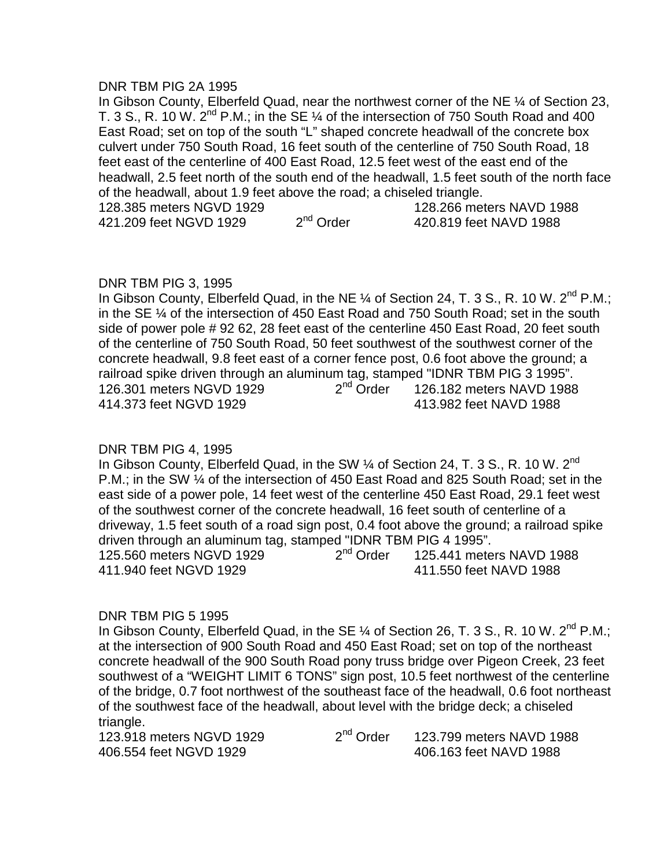#### DNR TBM PIG 2A 1995

In Gibson County, Elberfeld Quad, near the northwest corner of the NE ¼ of Section 23, T. 3 S., R. 10 W.  $2^{nd}$  P.M.; in the SE  $\%$  of the intersection of 750 South Road and 400 East Road; set on top of the south "L" shaped concrete headwall of the concrete box culvert under 750 South Road, 16 feet south of the centerline of 750 South Road, 18 feet east of the centerline of 400 East Road, 12.5 feet west of the east end of the headwall, 2.5 feet north of the south end of the headwall, 1.5 feet south of the north face of the headwall, about 1.9 feet above the road; a chiseled triangle.<br>128.385 motors NGVD 1020  $128.266$  meters NAVD 1988

| TZ0.300 MEIEIS NOVU TYZY |             | TZÖ.ZDD MEIGIS NAVU 1900 |
|--------------------------|-------------|--------------------------|
| 421.209 feet NGVD 1929   | $2nd$ Order | 420.819 feet NAVD 1988   |

## DNR TBM PIG 3, 1995

In Gibson County, Elberfeld Quad, in the NE 1/4 of Section 24, T. 3 S., R. 10 W. 2<sup>nd</sup> P.M.; in the SE ¼ of the intersection of 450 East Road and 750 South Road; set in the south side of power pole # 92 62, 28 feet east of the centerline 450 East Road, 20 feet south of the centerline of 750 South Road, 50 feet southwest of the southwest corner of the concrete headwall, 9.8 feet east of a corner fence post, 0.6 foot above the ground; a railroad spike driven through an aluminum tag, stamped "IDNR TBM PIG 3 1995".<br>126.301 meters NGVD 1929  $2<sup>nd</sup>$  Order 126.182 meters NAVD 1988 126.301 meters NGVD 1929  $2^{nq}$  Order  $126.182$  meters NAVD 1988 414.373 feet NGVD 1929 413.982 feet NAVD 1988

# DNR TBM PIG 4, 1995

In Gibson County, Elberfeld Quad, in the SW  $\%$  of Section 24, T. 3 S., R. 10 W. 2<sup>nd</sup> P.M.; in the SW ¼ of the intersection of 450 East Road and 825 South Road; set in the east side of a power pole, 14 feet west of the centerline 450 East Road, 29.1 feet west of the southwest corner of the concrete headwall, 16 feet south of centerline of a driveway, 1.5 feet south of a road sign post, 0.4 foot above the ground; a railroad spike driven through an aluminum tag, stamped "IDNR TBM PIG 4 1995". 125.560 meters NGVD 1929 2nd Order 125.441 meters NAVD 1988 411.940 feet NGVD 1929 411.550 feet NAVD 1988

## DNR TBM PIG 5 1995

In Gibson County, Elberfeld Quad, in the SE 1/4 of Section 26, T. 3 S., R. 10 W. 2<sup>nd</sup> P.M.: at the intersection of 900 South Road and 450 East Road; set on top of the northeast concrete headwall of the 900 South Road pony truss bridge over Pigeon Creek, 23 feet southwest of a "WEIGHT LIMIT 6 TONS" sign post, 10.5 feet northwest of the centerline of the bridge, 0.7 foot northwest of the southeast face of the headwall, 0.6 foot northeast of the southwest face of the headwall, about level with the bridge deck; a chiseled triangle.

123.918 meters NGVD 1929  $2<sup>nd</sup>$  Order  $123.799$  meters NAVD 1988 406.554 feet NGVD 1929 406.163 feet NAVD 1988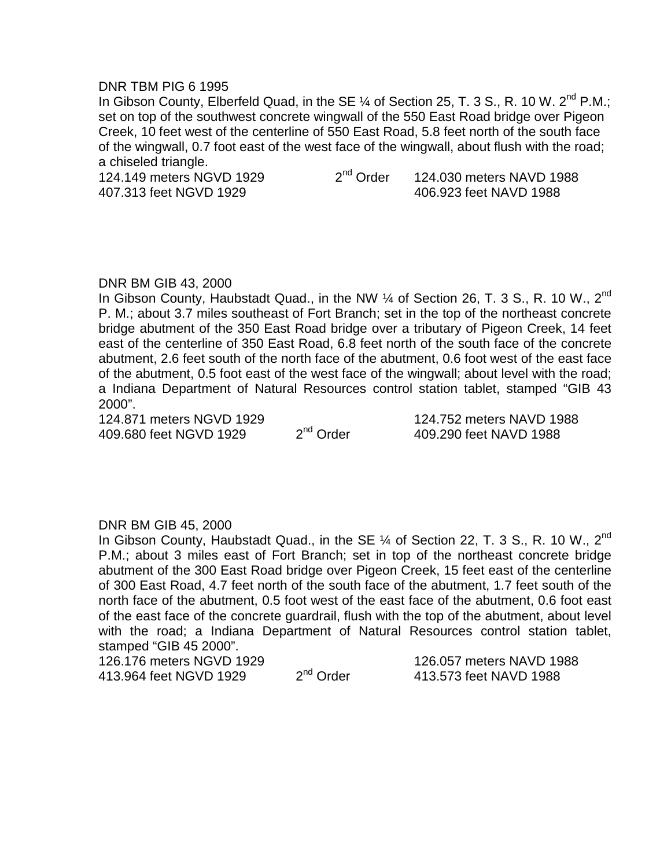#### DNR TBM PIG 6 1995

In Gibson County, Elberfeld Quad, in the SE  $\%$  of Section 25, T. 3 S., R. 10 W. 2<sup>nd</sup> P.M.; set on top of the southwest concrete wingwall of the 550 East Road bridge over Pigeon Creek, 10 feet west of the centerline of 550 East Road, 5.8 feet north of the south face of the wingwall, 0.7 foot east of the west face of the wingwall, about flush with the road; a chiseled triangle.

124.149 meters NGVD 1929 2<sup>nd</sup> Order 124.030 meters NAVD 1988 407.313 feet NGVD 1929 406.923 feet NAVD 1988

# DNR BM GIB 43, 2000

In Gibson County, Haubstadt Quad., in the NW  $\%$  of Section 26, T. 3 S., R. 10 W., 2<sup>nd</sup> P. M.; about 3.7 miles southeast of Fort Branch; set in the top of the northeast concrete bridge abutment of the 350 East Road bridge over a tributary of Pigeon Creek, 14 feet east of the centerline of 350 East Road, 6.8 feet north of the south face of the concrete abutment, 2.6 feet south of the north face of the abutment, 0.6 foot west of the east face of the abutment, 0.5 foot east of the west face of the wingwall; about level with the road; a Indiana Department of Natural Resources control station tablet, stamped "GIB 43 2000".

124.871 meters NGVD 1929 124.752 meters NAVD 1988<br>409.680 feet NGVD 1929 2<sup>nd</sup> Order 109.290 feet NAVD 1988 409.680 feet NGVD 1929 2<sup>nd</sup> Order 409.290 feet NAVD 1988

## DNR BM GIB 45, 2000

In Gibson County, Haubstadt Quad., in the SE  $\%$  of Section 22, T. 3 S., R. 10 W., 2<sup>nd</sup> P.M.; about 3 miles east of Fort Branch; set in top of the northeast concrete bridge abutment of the 300 East Road bridge over Pigeon Creek, 15 feet east of the centerline of 300 East Road, 4.7 feet north of the south face of the abutment, 1.7 feet south of the north face of the abutment, 0.5 foot west of the east face of the abutment, 0.6 foot east of the east face of the concrete guardrail, flush with the top of the abutment, about level with the road; a Indiana Department of Natural Resources control station tablet, stamped "GIB 45 2000".

126.176 meters NGVD 1929 126.057 meters NAVD 1988 413.964 feet NGVD 1929 2<sup>nd</sup> Order 413.573 feet NAVD 1988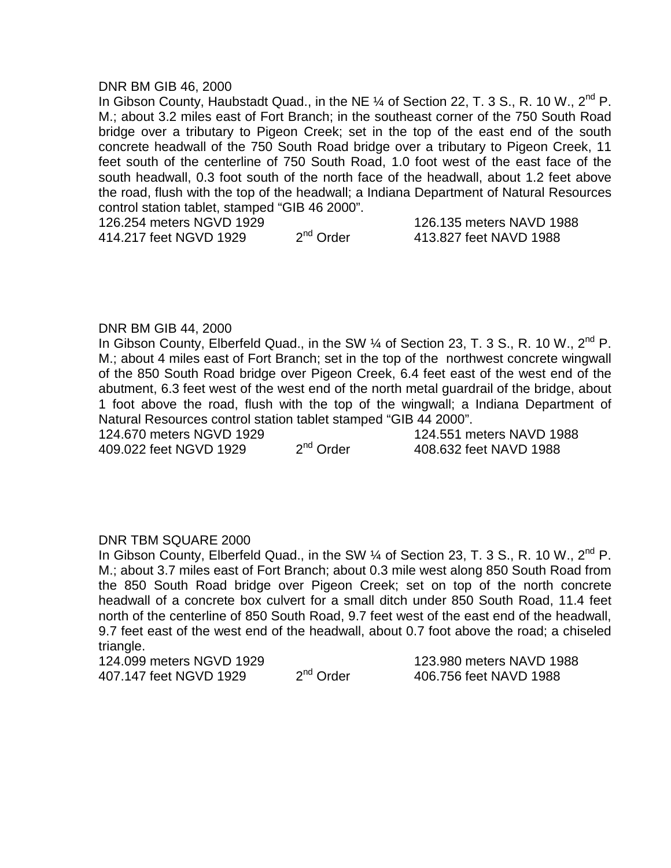#### DNR BM GIB 46, 2000

In Gibson County, Haubstadt Quad., in the NE  $\%$  of Section 22, T. 3 S., R. 10 W., 2<sup>nd</sup> P. M.; about 3.2 miles east of Fort Branch; in the southeast corner of the 750 South Road bridge over a tributary to Pigeon Creek; set in the top of the east end of the south concrete headwall of the 750 South Road bridge over a tributary to Pigeon Creek, 11 feet south of the centerline of 750 South Road, 1.0 foot west of the east face of the south headwall, 0.3 foot south of the north face of the headwall, about 1.2 feet above the road, flush with the top of the headwall; a Indiana Department of Natural Resources control station tablet, stamped "GIB 46 2000".

126.254 meters NGVD 1929<br>  $126.254$  meters NGVD 1929<br>  $2^{nd}$  Order<br>  $13.827$  feet NAVD 1988 414.217 feet NGVD 1929 2<sup>nd</sup> Order 413.827 feet NAVD 1988

#### DNR BM GIB 44, 2000

In Gibson County, Elberfeld Quad., in the SW  $\%$  of Section 23, T. 3 S., R. 10 W., 2<sup>nd</sup> P. M.; about 4 miles east of Fort Branch; set in the top of the northwest concrete wingwall of the 850 South Road bridge over Pigeon Creek, 6.4 feet east of the west end of the abutment, 6.3 feet west of the west end of the north metal guardrail of the bridge, about 1 foot above the road, flush with the top of the wingwall; a Indiana Department of Natural Resources control station tablet stamped "GIB 44 2000".

409.022 feet NGVD 1929 2<sup>nd</sup> Order 408.632 feet NAVD 1988

124.670 meters NGVD 1929 124.551 meters NAVD 1988<br>109.022 feet NGVD 1929 2<sup>nd</sup> Order 108.632 feet NAVD 1988

## DNR TBM SQUARE 2000

In Gibson County, Elberfeld Quad., in the SW  $\%$  of Section 23, T. 3 S., R. 10 W., 2<sup>nd</sup> P. M.; about 3.7 miles east of Fort Branch; about 0.3 mile west along 850 South Road from the 850 South Road bridge over Pigeon Creek; set on top of the north concrete headwall of a concrete box culvert for a small ditch under 850 South Road, 11.4 feet north of the centerline of 850 South Road, 9.7 feet west of the east end of the headwall, 9.7 feet east of the west end of the headwall, about 0.7 foot above the road; a chiseled triangle.

124.099 meters NGVD 1929 123.980 meters NAVD 1988 407.147 feet NGVD 1929 2<sup>nd</sup> Order 406.756 feet NAVD 1988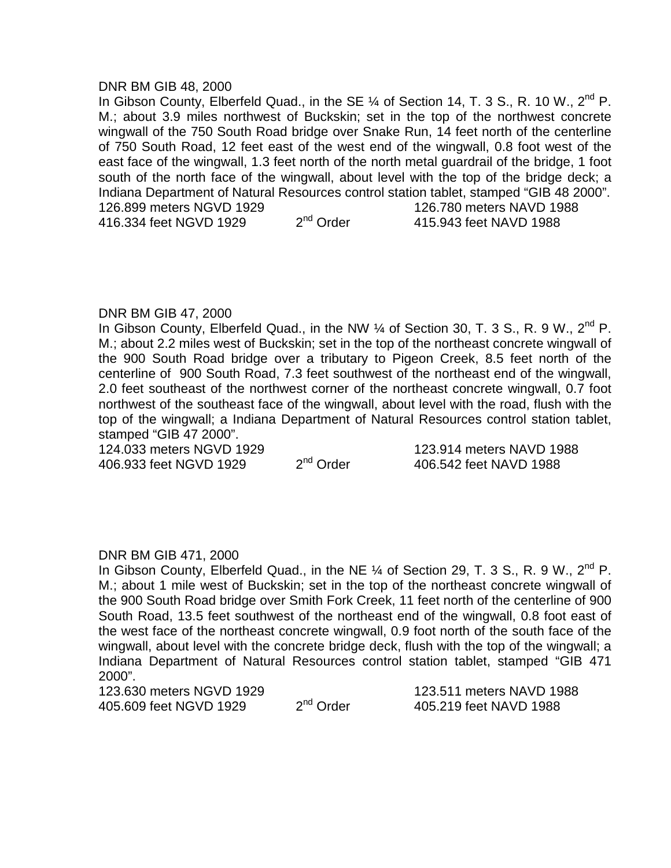#### DNR BM GIB 48, 2000

In Gibson County, Elberfeld Quad., in the SE  $\%$  of Section 14, T. 3 S., R. 10 W., 2<sup>nd</sup> P. M.; about 3.9 miles northwest of Buckskin; set in the top of the northwest concrete wingwall of the 750 South Road bridge over Snake Run, 14 feet north of the centerline of 750 South Road, 12 feet east of the west end of the wingwall, 0.8 foot west of the east face of the wingwall, 1.3 feet north of the north metal guardrail of the bridge, 1 foot south of the north face of the wingwall, about level with the top of the bridge deck; a Indiana Department of Natural Resources control station tablet, stamped "GIB 48 2000". 126.899 meters NGVD 1929 126.780 meters NAVD 1988 416.334 feet NGVD 1929 2<sup>nd</sup> Order 415.943 feet NAVD 1988

## DNR BM GIB 47, 2000

In Gibson County, Elberfeld Quad., in the NW 1/4 of Section 30, T. 3 S., R. 9 W., 2<sup>nd</sup> P. M.; about 2.2 miles west of Buckskin; set in the top of the northeast concrete wingwall of the 900 South Road bridge over a tributary to Pigeon Creek, 8.5 feet north of the centerline of 900 South Road, 7.3 feet southwest of the northeast end of the wingwall, 2.0 feet southeast of the northwest corner of the northeast concrete wingwall, 0.7 foot northwest of the southeast face of the wingwall, about level with the road, flush with the top of the wingwall; a Indiana Department of Natural Resources control station tablet, stamped "GIB 47 2000".

124.033 meters NGVD 1929 123.914 meters NAVD 1988<br>406.933 feet NGVD 1929 2<sup>nd</sup> Order 406.542 feet NAVD 1988 406.933 feet NGVD 1929 2<sup>nd</sup> Order 406.542 feet NAVD 1988

## DNR BM GIB 471, 2000

In Gibson County, Elberfeld Quad., in the NE  $\%$  of Section 29, T. 3 S., R. 9 W., 2<sup>nd</sup> P. M.; about 1 mile west of Buckskin; set in the top of the northeast concrete wingwall of the 900 South Road bridge over Smith Fork Creek, 11 feet north of the centerline of 900 South Road, 13.5 feet southwest of the northeast end of the wingwall, 0.8 foot east of the west face of the northeast concrete wingwall, 0.9 foot north of the south face of the wingwall, about level with the concrete bridge deck, flush with the top of the wingwall; a Indiana Department of Natural Resources control station tablet, stamped "GIB 471 2000".

123.630 meters NGVD 1929 123.511 meters NAVD 1988<br>405.609 feet NGVD 1929 2<sup>nd</sup> Order 405.219 feet NAVD 1988 405.609 feet NGVD 1929 2<sup>nd</sup> Order 405.219 feet NAVD 1988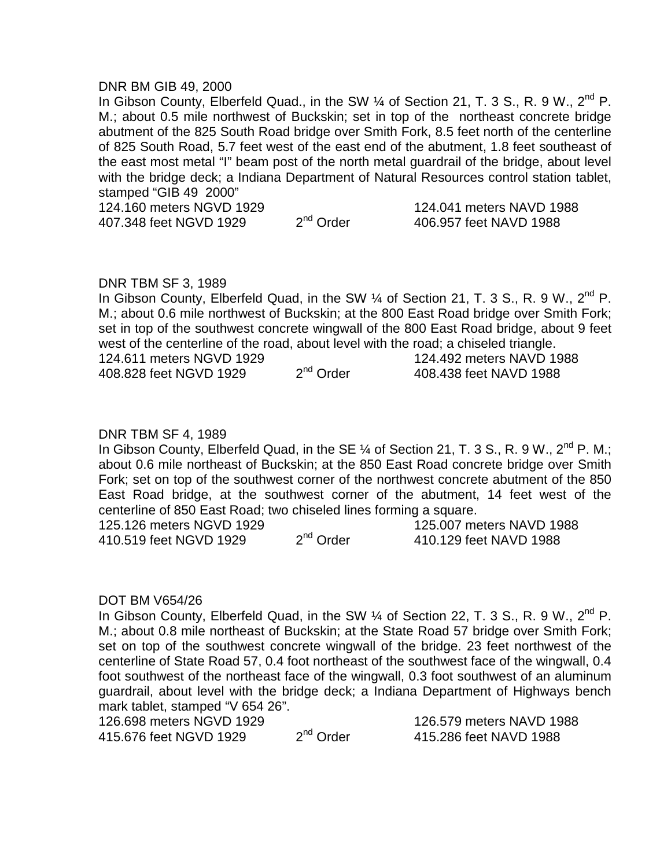#### DNR BM GIB 49, 2000

In Gibson County, Elberfeld Quad., in the SW 1/4 of Section 21, T. 3 S., R. 9 W., 2<sup>nd</sup> P. M.; about 0.5 mile northwest of Buckskin; set in top of the northeast concrete bridge abutment of the 825 South Road bridge over Smith Fork, 8.5 feet north of the centerline of 825 South Road, 5.7 feet west of the east end of the abutment, 1.8 feet southeast of the east most metal "I" beam post of the north metal guardrail of the bridge, about level with the bridge deck; a Indiana Department of Natural Resources control station tablet, stamped "GIB 49 2000"

407.348 feet NGVD 1929 2<sup>nd</sup> Order 406.957 feet NAVD 1988

124.160 meters NGVD 1929 124.041 meters NAVD 1988

## DNR TBM SF 3, 1989

In Gibson County, Elberfeld Quad, in the SW  $\%$  of Section 21, T. 3 S., R. 9 W., 2<sup>nd</sup> P. M.; about 0.6 mile northwest of Buckskin; at the 800 East Road bridge over Smith Fork; set in top of the southwest concrete wingwall of the 800 East Road bridge, about 9 feet west of the centerline of the road, about level with the road; a chiseled triangle. 124.611 meters NGVD 1929  $\frac{124.611 \text{ meters}}{1988}$  meters NAVD 1988<br>408.828 feet NGVD 1929  $\frac{2^{nd} \text{Order}}{1968}$  Order  $\frac{408.438 \text{ feet}}{1988}$ 408.828 feet NGVD 1929 2<sup>nd</sup> Order 408.438 feet NAVD 1988

## DNR TBM SF 4, 1989

In Gibson County, Elberfeld Quad, in the SE  $\frac{1}{4}$  of Section 21, T. 3 S., R. 9 W., 2<sup>nd</sup> P. M.; about 0.6 mile northeast of Buckskin; at the 850 East Road concrete bridge over Smith Fork; set on top of the southwest corner of the northwest concrete abutment of the 850 East Road bridge, at the southwest corner of the abutment, 14 feet west of the centerline of 850 East Road; two chiseled lines forming a square.

125.126 meters NGVD 1929 125.007 meters NAVD 1988<br>410.519 feet NGVD 1929 2<sup>nd</sup> Order 410.129 feet NAVD 1988 410.519 feet NGVD 1929 2<sup>nd</sup> Order 410.129 feet NAVD 1988

#### DOT BM V654/26

In Gibson County, Elberfeld Quad, in the SW  $\%$  of Section 22, T. 3 S., R. 9 W., 2<sup>nd</sup> P. M.; about 0.8 mile northeast of Buckskin; at the State Road 57 bridge over Smith Fork; set on top of the southwest concrete wingwall of the bridge. 23 feet northwest of the centerline of State Road 57, 0.4 foot northeast of the southwest face of the wingwall, 0.4 foot southwest of the northeast face of the wingwall, 0.3 foot southwest of an aluminum guardrail, about level with the bridge deck; a Indiana Department of Highways bench mark tablet, stamped "V 654 26".

126.698 meters NGVD 1929 126.579 meters NAVD 1988<br>415.676 feet NGVD 1929 2<sup>nd</sup> Order 415.286 feet NAVD 1988 415.676 feet NGVD 1929 2<sup>nd</sup> Order 415.286 feet NAVD 1988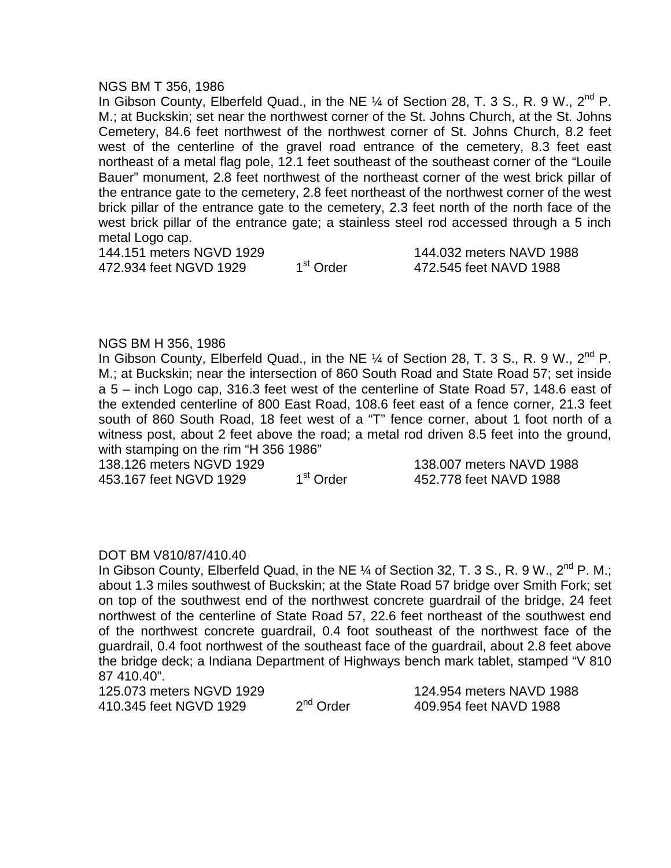#### NGS BM T 356, 1986

In Gibson County, Elberfeld Quad., in the NE  $\%$  of Section 28, T. 3 S., R. 9 W., 2<sup>nd</sup> P. M.; at Buckskin; set near the northwest corner of the St. Johns Church, at the St. Johns Cemetery, 84.6 feet northwest of the northwest corner of St. Johns Church, 8.2 feet west of the centerline of the gravel road entrance of the cemetery, 8.3 feet east northeast of a metal flag pole, 12.1 feet southeast of the southeast corner of the "Louile Bauer" monument, 2.8 feet northwest of the northeast corner of the west brick pillar of the entrance gate to the cemetery, 2.8 feet northeast of the northwest corner of the west brick pillar of the entrance gate to the cemetery, 2.3 feet north of the north face of the west brick pillar of the entrance gate; a stainless steel rod accessed through a 5 inch metal Logo cap.

144.151 meters NGVD 1929<br>472.934 feet NGVD 1929 1<sup>st</sup> Order 1472.545 feet NAVD 1988 472.934 feet NGVD 1929 1<sup>st</sup> Order 472.545 feet NAVD 1988

#### NGS BM H 356, 1986

In Gibson County, Elberfeld Quad., in the NE  $\%$  of Section 28, T. 3 S., R. 9 W., 2<sup>nd</sup> P. M.; at Buckskin; near the intersection of 860 South Road and State Road 57; set inside a 5 – inch Logo cap, 316.3 feet west of the centerline of State Road 57, 148.6 east of the extended centerline of 800 East Road, 108.6 feet east of a fence corner, 21.3 feet south of 860 South Road, 18 feet west of a "T" fence corner, about 1 foot north of a witness post, about 2 feet above the road; a metal rod driven 8.5 feet into the ground, with stamping on the rim "H 356 1986"

138.126 meters NGVD 1929 138.007 meters NAVD 1988

453.167 feet NGVD 1929 1<sup>st</sup> Order 452.778 feet NAVD 1988

## DOT BM V810/87/410.40

In Gibson County, Elberfeld Quad, in the NE  $\%$  of Section 32, T. 3 S., R. 9 W., 2<sup>nd</sup> P. M.; about 1.3 miles southwest of Buckskin; at the State Road 57 bridge over Smith Fork; set on top of the southwest end of the northwest concrete guardrail of the bridge, 24 feet northwest of the centerline of State Road 57, 22.6 feet northeast of the southwest end of the northwest concrete guardrail, 0.4 foot southeast of the northwest face of the guardrail, 0.4 foot northwest of the southeast face of the guardrail, about 2.8 feet above the bridge deck; a Indiana Department of Highways bench mark tablet, stamped "V 810 87 410.40".

125.073 meters NGVD 1929 124.954 meters NAVD 1988<br>410.345 feet NGVD 1929 2<sup>nd</sup> Order 409.954 feet NAVD 1988 410.345 feet NGVD 1929 2<sup>nd</sup> Order 309.954 feet NAVD 1988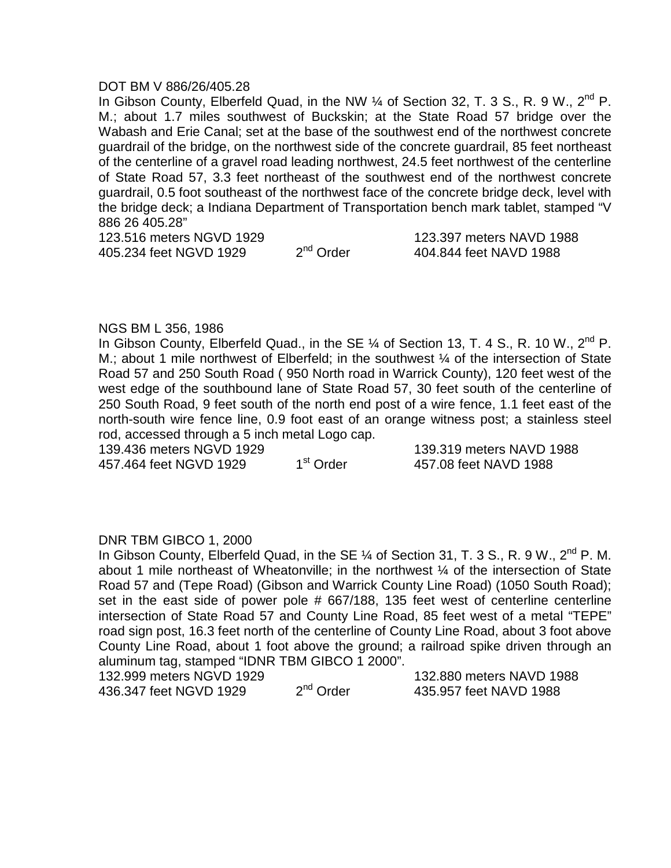#### DOT BM V 886/26/405.28

In Gibson County, Elberfeld Quad, in the NW  $\%$  of Section 32, T. 3 S., R. 9 W., 2<sup>nd</sup> P. M.; about 1.7 miles southwest of Buckskin; at the State Road 57 bridge over the Wabash and Erie Canal; set at the base of the southwest end of the northwest concrete guardrail of the bridge, on the northwest side of the concrete guardrail, 85 feet northeast of the centerline of a gravel road leading northwest, 24.5 feet northwest of the centerline of State Road 57, 3.3 feet northeast of the southwest end of the northwest concrete guardrail, 0.5 foot southeast of the northwest face of the concrete bridge deck, level with the bridge deck; a Indiana Department of Transportation bench mark tablet, stamped "V 886 26 405.28"

123.516 meters NGVD 1929  $\frac{123.397}{404.844}$  feet NAVD 1988<br>405.234 feet NGVD 1929  $\frac{2^{nd} \text{ Order}}{404.844}$  feet NAVD 1988 405.234 feet NGVD 1929 2<sup>nd</sup> Order 404.844 feet NAVD 1988

#### NGS BM L 356, 1986

In Gibson County, Elberfeld Quad., in the SE  $\%$  of Section 13, T. 4 S., R. 10 W., 2<sup>nd</sup> P. M.; about 1 mile northwest of Elberfeld; in the southwest 1/4 of the intersection of State Road 57 and 250 South Road ( 950 North road in Warrick County), 120 feet west of the west edge of the southbound lane of State Road 57, 30 feet south of the centerline of 250 South Road, 9 feet south of the north end post of a wire fence, 1.1 feet east of the north-south wire fence line, 0.9 foot east of an orange witness post; a stainless steel rod, accessed through a 5 inch metal Logo cap.

457.464 feet NGVD 1929 1st Order

139.436 meters NGVD 1929 139.319 meters NAVD 1988 457.08 feet NAVD 1988

## DNR TBM GIBCO 1, 2000

In Gibson County, Elberfeld Quad, in the SE  $\%$  of Section 31, T. 3 S., R. 9 W., 2<sup>nd</sup> P. M. about 1 mile northeast of Wheatonville; in the northwest ¼ of the intersection of State Road 57 and (Tepe Road) (Gibson and Warrick County Line Road) (1050 South Road); set in the east side of power pole # 667/188, 135 feet west of centerline centerline intersection of State Road 57 and County Line Road, 85 feet west of a metal "TEPE" road sign post, 16.3 feet north of the centerline of County Line Road, about 3 foot above County Line Road, about 1 foot above the ground; a railroad spike driven through an aluminum tag, stamped "IDNR TBM GIBCO 1 2000".

132.999 meters NGVD 1929<br>
436.347 feet NGVD 1929 2<sup>nd</sup> Order 435.957 feet NAVD 1988 436.347 feet NGVD 1929 2<sup>nd</sup> Order 3435.957 feet NAVD 1988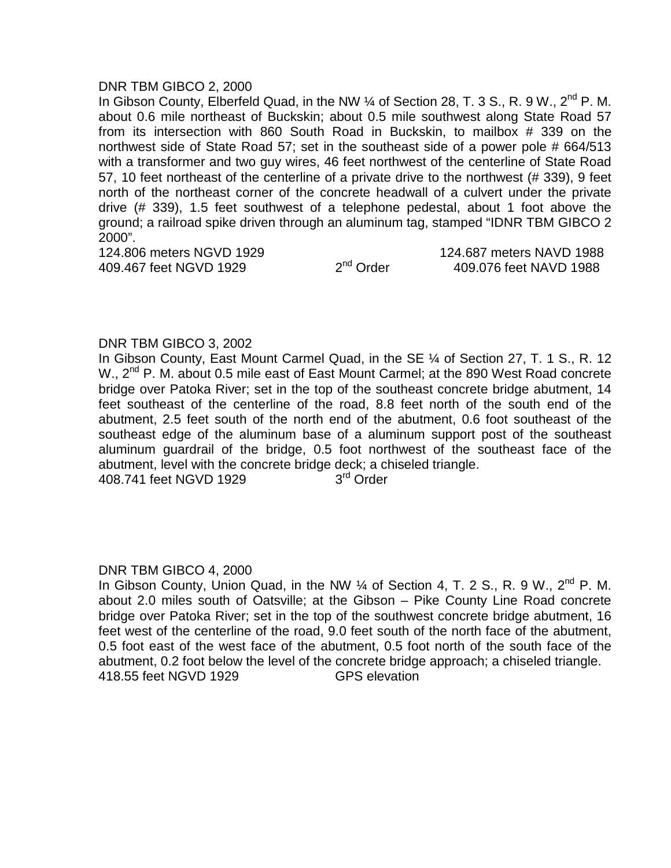#### DNR TBM GIBCO 2, 2000

In Gibson County, Elberfeld Quad, in the NW 1/4 of Section 28, T. 3 S., R. 9 W., 2<sup>nd</sup> P. M. about 0.6 mile northeast of Buckskin; about 0.5 mile southwest along State Road 57 from its intersection with 860 South Road in Buckskin, to mailbox # 339 on the northwest side of State Road 57; set in the southeast side of a power pole # 664/513 with a transformer and two guy wires, 46 feet northwest of the centerline of State Road 57, 10 feet northeast of the centerline of a private drive to the northwest (# 339), 9 feet north of the northeast corner of the concrete headwall of a culvert under the private drive (# 339), 1.5 feet southwest of a telephone pedestal, about 1 foot above the ground; a railroad spike driven through an aluminum tag, stamped "IDNR TBM GIBCO 2 2000".

124.806 meters NGVD 1929 124.687 meters NAVD 1988<br>409.467 feet NGVD 1929 2<sup>nd</sup> Order 109.076 feet NAVD 1988 409.467 feet NGVD 1929  $2^{nd}$  Order  $409.076$  feet NAVD 1988

## DNR TBM GIBCO 3, 2002

In Gibson County, East Mount Carmel Quad, in the SE ¼ of Section 27, T. 1 S., R. 12 W., 2<sup>nd</sup> P. M. about 0.5 mile east of East Mount Carmel; at the 890 West Road concrete bridge over Patoka River; set in the top of the southeast concrete bridge abutment, 14 feet southeast of the centerline of the road, 8.8 feet north of the south end of the abutment, 2.5 feet south of the north end of the abutment, 0.6 foot southeast of the southeast edge of the aluminum base of a aluminum support post of the southeast aluminum guardrail of the bridge, 0.5 foot northwest of the southeast face of the abutment, level with the concrete bridge deck; a chiseled triangle. 408.741 feet NGVD 1929 3<sup>rd</sup> Order

#### DNR TBM GIBCO 4, 2000

In Gibson County, Union Quad, in the NW  $\frac{1}{4}$  of Section 4, T. 2 S., R. 9 W., 2<sup>nd</sup> P. M. about 2.0 miles south of Oatsville; at the Gibson – Pike County Line Road concrete bridge over Patoka River; set in the top of the southwest concrete bridge abutment, 16 feet west of the centerline of the road, 9.0 feet south of the north face of the abutment, 0.5 foot east of the west face of the abutment, 0.5 foot north of the south face of the abutment, 0.2 foot below the level of the concrete bridge approach; a chiseled triangle. 418.55 feet NGVD 1929 GPS elevation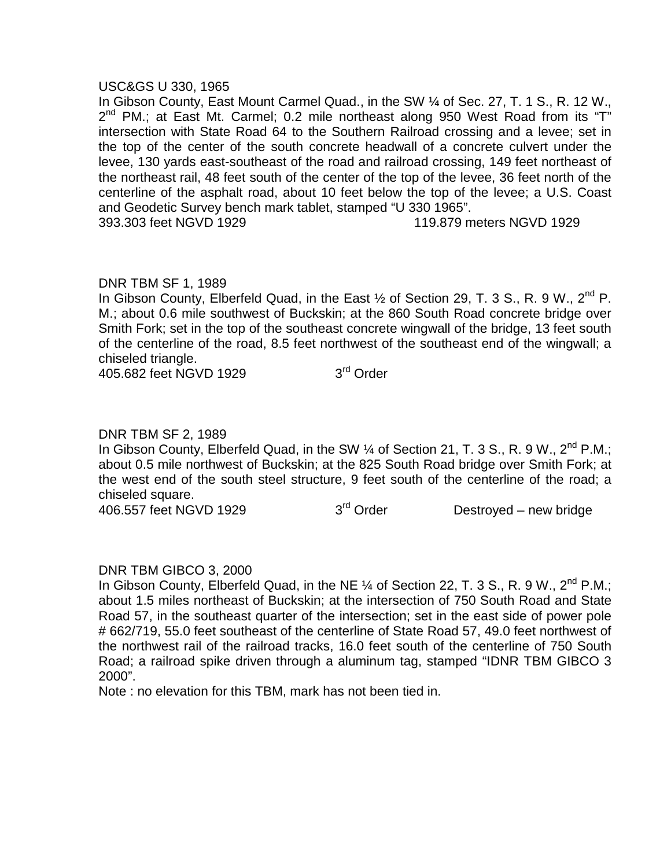#### USC&GS U 330, 1965

In Gibson County, East Mount Carmel Quad., in the SW ¼ of Sec. 27, T. 1 S., R. 12 W.,  $2^{nd}$  PM.; at East Mt. Carmel; 0.2 mile northeast along 950 West Road from its "T" intersection with State Road 64 to the Southern Railroad crossing and a levee; set in the top of the center of the south concrete headwall of a concrete culvert under the levee, 130 yards east-southeast of the road and railroad crossing, 149 feet northeast of the northeast rail, 48 feet south of the center of the top of the levee, 36 feet north of the centerline of the asphalt road, about 10 feet below the top of the levee; a U.S. Coast and Geodetic Survey bench mark tablet, stamped "U 330 1965". 393.303 feet NGVD 1929 119.879 meters NGVD 1929

# DNR TBM SF 1, 1989

In Gibson County, Elberfeld Quad, in the East  $\frac{1}{2}$  of Section 29, T. 3 S., R. 9 W., 2<sup>nd</sup> P. M.; about 0.6 mile southwest of Buckskin; at the 860 South Road concrete bridge over Smith Fork; set in the top of the southeast concrete wingwall of the bridge, 13 feet south of the centerline of the road, 8.5 feet northwest of the southeast end of the wingwall; a chiseled triangle.

405.682 feet NGVD 1929 3<sup>rd</sup> Order

# DNR TBM SF 2, 1989

In Gibson County, Elberfeld Quad, in the SW  $\%$  of Section 21, T. 3 S., R. 9 W., 2<sup>nd</sup> P.M.; about 0.5 mile northwest of Buckskin; at the 825 South Road bridge over Smith Fork; at the west end of the south steel structure, 9 feet south of the centerline of the road; a chiseled square.

406.557 feet NGVD 1929 3<sup>rd</sup> Order Destroyed – new bridge

## DNR TBM GIBCO 3, 2000

In Gibson County, Elberfeld Quad, in the NE 1/4 of Section 22, T. 3 S., R. 9 W., 2<sup>nd</sup> P.M.; about 1.5 miles northeast of Buckskin; at the intersection of 750 South Road and State Road 57, in the southeast quarter of the intersection; set in the east side of power pole # 662/719, 55.0 feet southeast of the centerline of State Road 57, 49.0 feet northwest of the northwest rail of the railroad tracks, 16.0 feet south of the centerline of 750 South Road; a railroad spike driven through a aluminum tag, stamped "IDNR TBM GIBCO 3 2000".

Note : no elevation for this TBM, mark has not been tied in.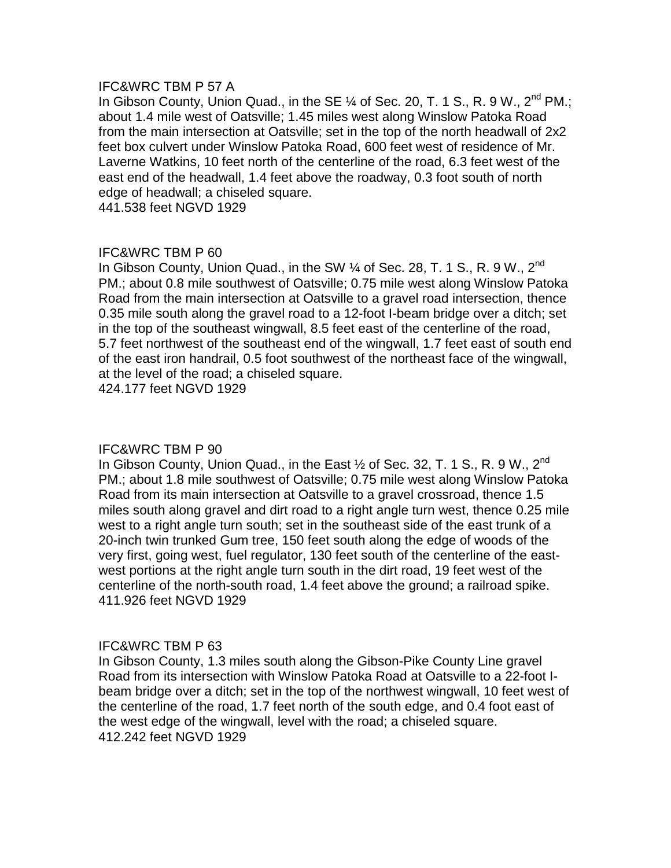## IFC&WRC TBM P 57 A

In Gibson County, Union Quad., in the SE  $\frac{1}{4}$  of Sec. 20, T. 1 S., R. 9 W.,  $2^{nd}$  PM.; about 1.4 mile west of Oatsville; 1.45 miles west along Winslow Patoka Road from the main intersection at Oatsville; set in the top of the north headwall of 2x2 feet box culvert under Winslow Patoka Road, 600 feet west of residence of Mr. Laverne Watkins, 10 feet north of the centerline of the road, 6.3 feet west of the east end of the headwall, 1.4 feet above the roadway, 0.3 foot south of north edge of headwall; a chiseled square.

441.538 feet NGVD 1929

# IFC&WRC TBM P 60

In Gibson County, Union Quad., in the SW  $\%$  of Sec. 28, T. 1 S., R. 9 W., 2<sup>nd</sup> PM.; about 0.8 mile southwest of Oatsville; 0.75 mile west along Winslow Patoka Road from the main intersection at Oatsville to a gravel road intersection, thence 0.35 mile south along the gravel road to a 12-foot I-beam bridge over a ditch; set in the top of the southeast wingwall, 8.5 feet east of the centerline of the road, 5.7 feet northwest of the southeast end of the wingwall, 1.7 feet east of south end of the east iron handrail, 0.5 foot southwest of the northeast face of the wingwall, at the level of the road; a chiseled square.

424.177 feet NGVD 1929

## IFC&WRC TBM P 90

In Gibson County, Union Quad., in the East  $\frac{1}{2}$  of Sec. 32, T. 1 S., R. 9 W., 2<sup>nd</sup> PM.; about 1.8 mile southwest of Oatsville; 0.75 mile west along Winslow Patoka Road from its main intersection at Oatsville to a gravel crossroad, thence 1.5 miles south along gravel and dirt road to a right angle turn west, thence 0.25 mile west to a right angle turn south; set in the southeast side of the east trunk of a 20-inch twin trunked Gum tree, 150 feet south along the edge of woods of the very first, going west, fuel regulator, 130 feet south of the centerline of the east west portions at the right angle turn south in the dirt road, 19 feet west of the centerline of the north-south road, 1.4 feet above the ground; a railroad spike. 411.926 feet NGVD 1929

## IFC&WRC TBM P 63

In Gibson County, 1.3 miles south along the Gibson-Pike County Line gravel Road from its intersection with Winslow Patoka Road at Oatsville to a 22-foot I beam bridge over a ditch; set in the top of the northwest wingwall, 10 feet west of the centerline of the road, 1.7 feet north of the south edge, and 0.4 foot east of the west edge of the wingwall, level with the road; a chiseled square. 412.242 feet NGVD 1929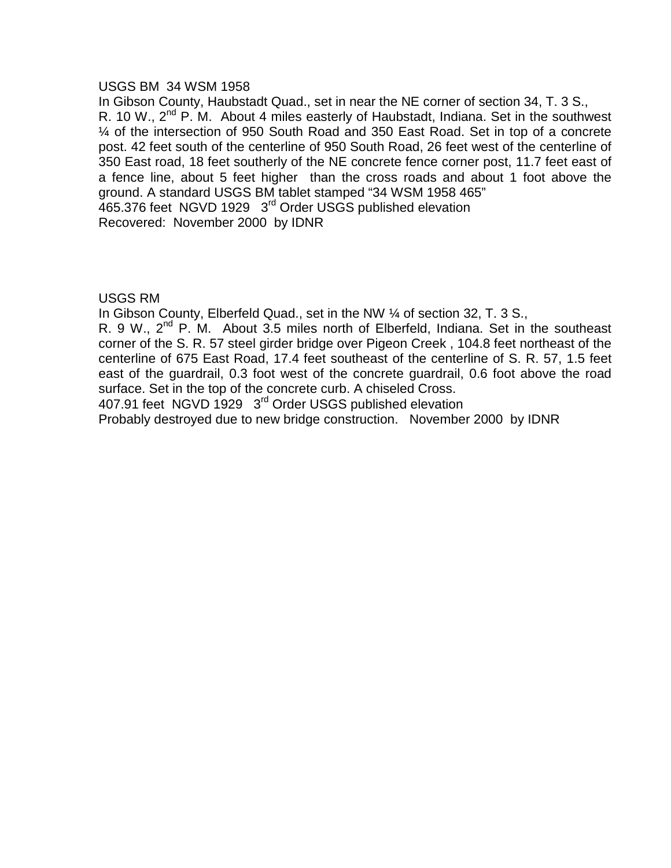#### USGS BM 34 WSM 1958

In Gibson County, Haubstadt Quad., set in near the NE corner of section 34, T. 3 S., R. 10 W.,  $2^{nd}$  P. M. About 4 miles easterly of Haubstadt, Indiana. Set in the southwest ¼ of the intersection of 950 South Road and 350 East Road. Set in top of a concrete post. 42 feet south of the centerline of 950 South Road, 26 feet west of the centerline of 350 East road, 18 feet southerly of the NE concrete fence corner post, 11.7 feet east of a fence line, about 5 feet higher than the cross roads and about 1 foot above the ground. A standard USGS BM tablet stamped "34 WSM 1958 465" 465.376 feet NGVD 1929 3<sup>rd</sup> Order USGS published elevation

Recovered: November 2000 by IDNR

# USGS RM

In Gibson County, Elberfeld Quad., set in the NW ¼ of section 32, T. 3 S.,

R. 9 W.,  $2^{nd}$  P. M. About 3.5 miles north of Elberfeld, Indiana. Set in the southeast corner of the S. R. 57 steel girder bridge over Pigeon Creek , 104.8 feet northeast of the centerline of 675 East Road, 17.4 feet southeast of the centerline of S. R. 57, 1.5 feet east of the guardrail, 0.3 foot west of the concrete guardrail, 0.6 foot above the road surface. Set in the top of the concrete curb. A chiseled Cross.

407.91 feet NGVD 1929 3<sup>rd</sup> Order USGS published elevation

Probably destroyed due to new bridge construction. November 2000 by IDNR